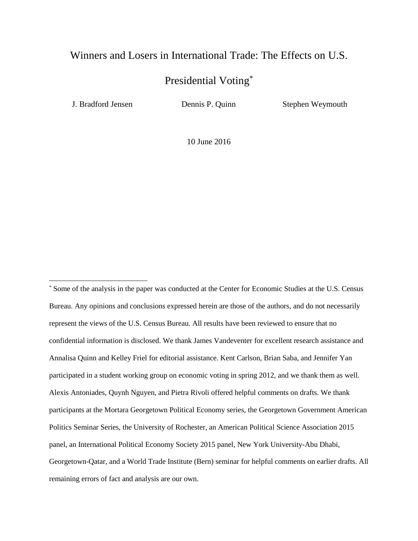## Winners and Losers in International Trade: The Effects on U.S.

# Presidential Voting<sup>\*</sup>

 $\overline{\phantom{a}}$ 

J. Bradford Jensen Dennis P. Quinn Stephen Weymouth

10 June 2016

<sup>\*</sup> Some of the analysis in the paper was conducted at the Center for Economic Studies at the U.S. Census Bureau. Any opinions and conclusions expressed herein are those of the authors, and do not necessarily represent the views of the U.S. Census Bureau. All results have been reviewed to ensure that no confidential information is disclosed. We thank James Vandeventer for excellent research assistance and Annalisa Quinn and Kelley Friel for editorial assistance. Kent Carlson, Brian Saba, and Jennifer Yan participated in a student working group on economic voting in spring 2012, and we thank them as well. Alexis Antoniades, Quynh Nguyen, and Pietra Rivoli offered helpful comments on drafts. We thank participants at the Mortara Georgetown Political Economy series, the Georgetown Government American Politics Seminar Series, the University of Rochester, an American Political Science Association 2015 panel, an International Political Economy Society 2015 panel, New York University-Abu Dhabi, Georgetown-Qatar, and a World Trade Institute (Bern) seminar for helpful comments on earlier drafts. All remaining errors of fact and analysis are our own.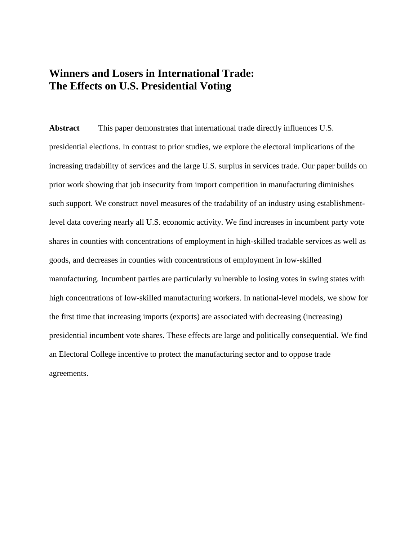# **Winners and Losers in International Trade: The Effects on U.S. Presidential Voting**

**Abstract** This paper demonstrates that international trade directly influences U.S. presidential elections. In contrast to prior studies, we explore the electoral implications of the increasing tradability of services and the large U.S. surplus in services trade. Our paper builds on prior work showing that job insecurity from import competition in manufacturing diminishes such support. We construct novel measures of the tradability of an industry using establishmentlevel data covering nearly all U.S. economic activity. We find increases in incumbent party vote shares in counties with concentrations of employment in high-skilled tradable services as well as goods, and decreases in counties with concentrations of employment in low-skilled manufacturing. Incumbent parties are particularly vulnerable to losing votes in swing states with high concentrations of low-skilled manufacturing workers. In national-level models, we show for the first time that increasing imports (exports) are associated with decreasing (increasing) presidential incumbent vote shares. These effects are large and politically consequential. We find an Electoral College incentive to protect the manufacturing sector and to oppose trade agreements.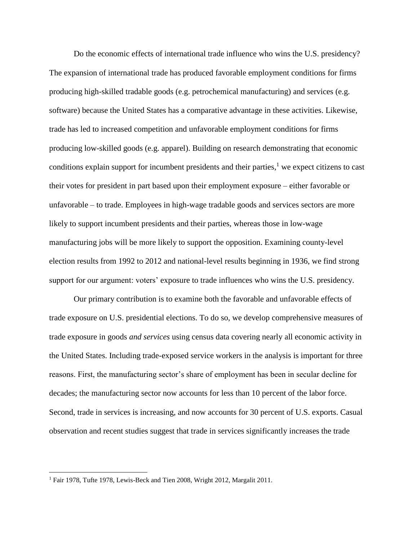Do the economic effects of international trade influence who wins the U.S. presidency? The expansion of international trade has produced favorable employment conditions for firms producing high-skilled tradable goods (e.g. petrochemical manufacturing) and services (e.g. software) because the United States has a comparative advantage in these activities. Likewise, trade has led to increased competition and unfavorable employment conditions for firms producing low-skilled goods (e.g. apparel). Building on research demonstrating that economic conditions explain support for incumbent presidents and their parties, $<sup>1</sup>$  we expect citizens to cast</sup> their votes for president in part based upon their employment exposure – either favorable or unfavorable – to trade. Employees in high-wage tradable goods and services sectors are more likely to support incumbent presidents and their parties, whereas those in low-wage manufacturing jobs will be more likely to support the opposition. Examining county-level election results from 1992 to 2012 and national-level results beginning in 1936, we find strong support for our argument: voters' exposure to trade influences who wins the U.S. presidency.

Our primary contribution is to examine both the favorable and unfavorable effects of trade exposure on U.S. presidential elections. To do so, we develop comprehensive measures of trade exposure in goods *and services* using census data covering nearly all economic activity in the United States. Including trade-exposed service workers in the analysis is important for three reasons. First, the manufacturing sector's share of employment has been in secular decline for decades; the manufacturing sector now accounts for less than 10 percent of the labor force. Second, trade in services is increasing, and now accounts for 30 percent of U.S. exports. Casual observation and recent studies suggest that trade in services significantly increases the trade

<sup>&</sup>lt;sup>1</sup> Fair 1978, Tufte 1978, Lewis-Beck and Tien 2008, Wright 2012, Margalit 2011.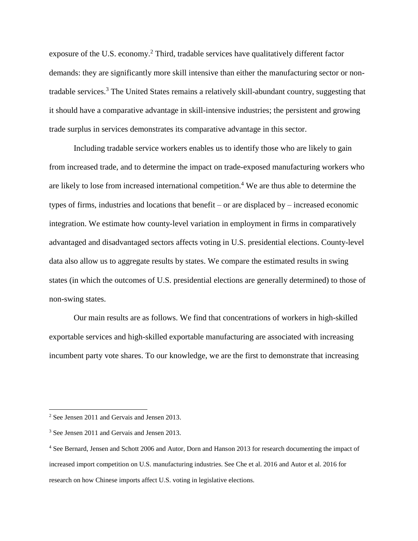exposure of the U.S. economy.<sup>2</sup> Third, tradable services have qualitatively different factor demands: they are significantly more skill intensive than either the manufacturing sector or nontradable services. $3$  The United States remains a relatively skill-abundant country, suggesting that it should have a comparative advantage in skill-intensive industries; the persistent and growing trade surplus in services demonstrates its comparative advantage in this sector.

Including tradable service workers enables us to identify those who are likely to gain from increased trade, and to determine the impact on trade-exposed manufacturing workers who are likely to lose from increased international competition.<sup>4</sup> We are thus able to determine the types of firms, industries and locations that benefit – or are displaced by – increased economic integration. We estimate how county-level variation in employment in firms in comparatively advantaged and disadvantaged sectors affects voting in U.S. presidential elections. County-level data also allow us to aggregate results by states. We compare the estimated results in swing states (in which the outcomes of U.S. presidential elections are generally determined) to those of non-swing states.

Our main results are as follows. We find that concentrations of workers in high-skilled exportable services and high-skilled exportable manufacturing are associated with increasing incumbent party vote shares. To our knowledge, we are the first to demonstrate that increasing

<sup>2</sup> See Jensen 2011 and Gervais and Jensen 2013.

<sup>3</sup> See Jensen 2011 and Gervais and Jensen 2013.

<sup>4</sup> See Bernard, Jensen and Schott 2006 and Autor, Dorn and Hanson 2013 for research documenting the impact of increased import competition on U.S. manufacturing industries. See Che et al. 2016 and Autor et al. 2016 for research on how Chinese imports affect U.S. voting in legislative elections.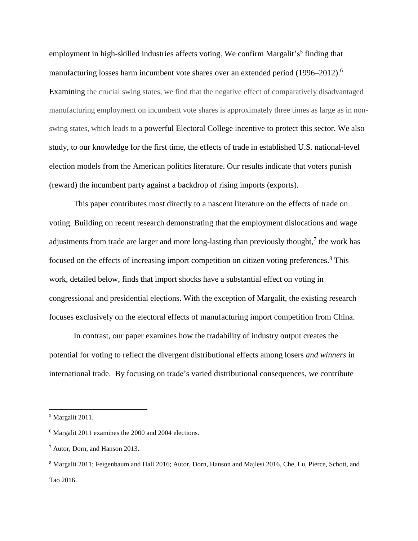employment in high-skilled industries affects voting. We confirm Margalit's<sup>5</sup> finding that manufacturing losses harm incumbent vote shares over an extended period (1996–2012).<sup>6</sup> Examining the crucial swing states, we find that the negative effect of comparatively disadvantaged manufacturing employment on incumbent vote shares is approximately three times as large as in nonswing states, which leads to a powerful Electoral College incentive to protect this sector. We also study, to our knowledge for the first time, the effects of trade in established U.S. national-level election models from the American politics literature. Our results indicate that voters punish (reward) the incumbent party against a backdrop of rising imports (exports).

This paper contributes most directly to a nascent literature on the effects of trade on voting. Building on recent research demonstrating that the employment dislocations and wage adjustments from trade are larger and more long-lasting than previously thought,<sup>7</sup> the work has focused on the effects of increasing import competition on citizen voting preferences.<sup>8</sup> This work, detailed below, finds that import shocks have a substantial effect on voting in congressional and presidential elections. With the exception of Margalit, the existing research focuses exclusively on the electoral effects of manufacturing import competition from China.

In contrast, our paper examines how the tradability of industry output creates the potential for voting to reflect the divergent distributional effects among losers *and winners* in international trade. By focusing on trade's varied distributional consequences, we contribute

<sup>5</sup> Margalit 2011.

<sup>6</sup> Margalit 2011 examines the 2000 and 2004 elections.

<sup>7</sup> Autor, Dorn, and Hanson 2013.

<sup>8</sup> Margalit 2011; Feigenbaum and Hall 2016; Autor, Dorn, Hanson and Majlesi 2016, Che, Lu, Pierce, Schott, and Tao 2016.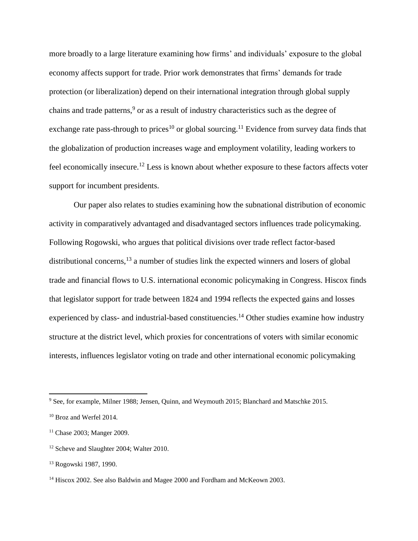more broadly to a large literature examining how firms' and individuals' exposure to the global economy affects support for trade. Prior work demonstrates that firms' demands for trade protection (or liberalization) depend on their international integration through global supply chains and trade patterns,<sup>9</sup> or as a result of industry characteristics such as the degree of exchange rate pass-through to prices<sup>10</sup> or global sourcing.<sup>11</sup> Evidence from survey data finds that the globalization of production increases wage and employment volatility, leading workers to feel economically insecure.<sup>12</sup> Less is known about whether exposure to these factors affects voter support for incumbent presidents.

Our paper also relates to studies examining how the subnational distribution of economic activity in comparatively advantaged and disadvantaged sectors influences trade policymaking. Following Rogowski, who argues that political divisions over trade reflect factor-based distributional concerns,  $^{13}$  a number of studies link the expected winners and losers of global trade and financial flows to U.S. international economic policymaking in Congress. Hiscox finds that legislator support for trade between 1824 and 1994 reflects the expected gains and losses experienced by class- and industrial-based constituencies.<sup>14</sup> Other studies examine how industry structure at the district level, which proxies for concentrations of voters with similar economic interests, influences legislator voting on trade and other international economic policymaking

<sup>9</sup> See, for example, Milner 1988; Jensen, Quinn, and Weymouth 2015; Blanchard and Matschke 2015.

<sup>10</sup> Broz and Werfel 2014.

<sup>11</sup> Chase 2003; Manger 2009.

<sup>&</sup>lt;sup>12</sup> Scheve and Slaughter 2004; Walter 2010.

<sup>13</sup> Rogowski 1987, 1990.

<sup>&</sup>lt;sup>14</sup> Hiscox 2002. See also Baldwin and Magee 2000 and Fordham and McKeown 2003.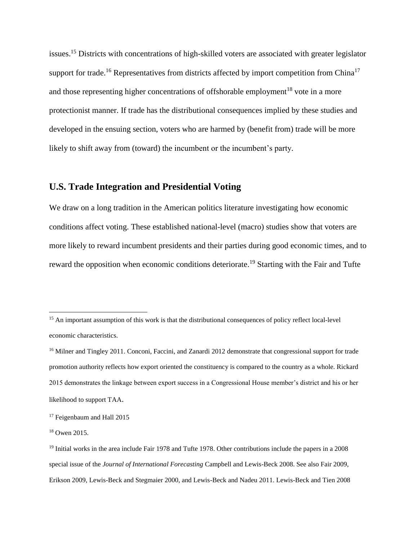issues.<sup>15</sup> Districts with concentrations of high-skilled voters are associated with greater legislator support for trade.<sup>16</sup> Representatives from districts affected by import competition from China<sup>17</sup> and those representing higher concentrations of offshorable employment<sup>18</sup> vote in a more protectionist manner. If trade has the distributional consequences implied by these studies and developed in the ensuing section, voters who are harmed by (benefit from) trade will be more likely to shift away from (toward) the incumbent or the incumbent's party.

## **U.S. Trade Integration and Presidential Voting**

We draw on a long tradition in the American politics literature investigating how economic conditions affect voting. These established national-level (macro) studies show that voters are more likely to reward incumbent presidents and their parties during good economic times, and to reward the opposition when economic conditions deteriorate.<sup>19</sup> Starting with the Fair and Tufte

<sup>&</sup>lt;sup>15</sup> An important assumption of this work is that the distributional consequences of policy reflect local-level economic characteristics.

<sup>&</sup>lt;sup>16</sup> Milner and Tingley 2011. Conconi, Faccini, and Zanardi 2012 demonstrate that congressional support for trade promotion authority reflects how export oriented the constituency is compared to the country as a whole. Rickard 2015 demonstrates the linkage between export success in a Congressional House member's district and his or her likelihood to support TAA.

<sup>&</sup>lt;sup>17</sup> Feigenbaum and Hall 2015

<sup>18</sup> Owen 2015.

<sup>&</sup>lt;sup>19</sup> Initial works in the area include Fair 1978 and Tufte 1978. Other contributions include the papers in a 2008 special issue of the *Journal of International Forecasting* Campbell and Lewis-Beck 2008. See also Fair 2009, Erikson 2009, Lewis-Beck and Stegmaier 2000, and Lewis-Beck and Nadeu 2011. Lewis-Beck and Tien 2008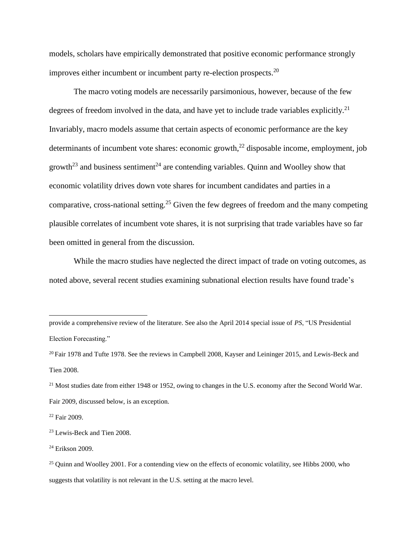models, scholars have empirically demonstrated that positive economic performance strongly improves either incumbent or incumbent party re-election prospects. 20

The macro voting models are necessarily parsimonious, however, because of the few degrees of freedom involved in the data, and have yet to include trade variables explicitly.<sup>21</sup> Invariably, macro models assume that certain aspects of economic performance are the key determinants of incumbent vote shares: economic growth, $^{22}$  disposable income, employment, job growth<sup>23</sup> and business sentiment<sup>24</sup> are contending variables. Quinn and Woolley show that economic volatility drives down vote shares for incumbent candidates and parties in a comparative, cross-national setting.<sup>25</sup> Given the few degrees of freedom and the many competing plausible correlates of incumbent vote shares, it is not surprising that trade variables have so far been omitted in general from the discussion.

While the macro studies have neglected the direct impact of trade on voting outcomes, as noted above, several recent studies examining subnational election results have found trade's

<sup>22</sup> Fair 2009.

provide a comprehensive review of the literature. See also the April 2014 special issue of *PS*, "US Presidential Election Forecasting."

 $^{20}$  Fair 1978 and Tufte 1978. See the reviews in Campbell 2008, Kayser and Leininger 2015, and Lewis-Beck and Tien 2008.

 $^{21}$  Most studies date from either 1948 or 1952, owing to changes in the U.S. economy after the Second World War. Fair 2009, discussed below, is an exception.

<sup>23</sup> Lewis-Beck and Tien 2008.

<sup>24</sup> Erikson 2009.

<sup>&</sup>lt;sup>25</sup> Quinn and Woolley 2001. For a contending view on the effects of economic volatility, see Hibbs 2000, who suggests that volatility is not relevant in the U.S. setting at the macro level.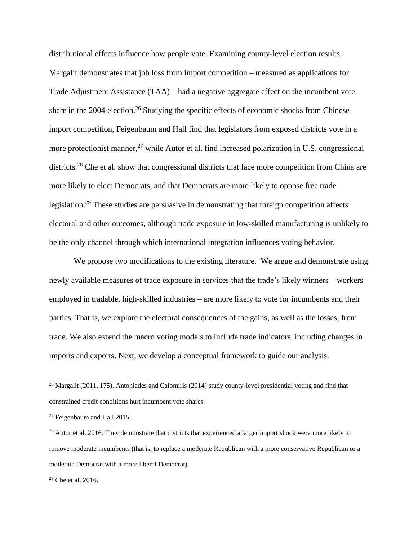distributional effects influence how people vote. Examining county-level election results, Margalit demonstrates that job loss from import competition – measured as applications for Trade Adjustment Assistance (TAA) – had a negative aggregate effect on the incumbent vote share in the  $2004$  election.<sup>26</sup> Studying the specific effects of economic shocks from Chinese import competition, Feigenbaum and Hall find that legislators from exposed districts vote in a more protectionist manner,<sup>27</sup> while Autor et al. find increased polarization in U.S. congressional districts.<sup>28</sup> Che et al. show that congressional districts that face more competition from China are more likely to elect Democrats, and that Democrats are more likely to oppose free trade legislation.<sup>29</sup> These studies are persuasive in demonstrating that foreign competition affects electoral and other outcomes, although trade exposure in low-skilled manufacturing is unlikely to be the only channel through which international integration influences voting behavior.

We propose two modifications to the existing literature. We argue and demonstrate using newly available measures of trade exposure in services that the trade's likely winners – workers employed in tradable, high-skilled industries – are more likely to vote for incumbents and their parties. That is, we explore the electoral consequences of the gains, as well as the losses, from trade. We also extend the macro voting models to include trade indicators, including changes in imports and exports. Next, we develop a conceptual framework to guide our analysis.

 $^{26}$  Margalit (2011, 175). Antoniades and Calomiris (2014) study county-level presidential voting and find that constrained credit conditions hurt incumbent vote shares.

<sup>&</sup>lt;sup>27</sup> Feigenbaum and Hall 2015.

 $^{28}$  Autor et al. 2016. They demonstrate that districts that experienced a larger import shock were more likely to remove moderate incumbents (that is, to replace a moderate Republican with a more conservative Republican or a moderate Democrat with a more liberal Democrat).

 $29$  Che et al. 2016.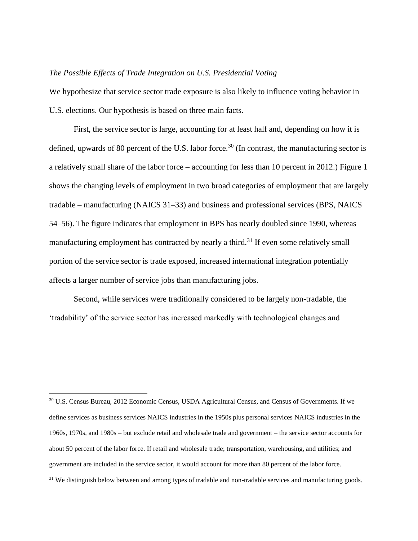#### *The Possible Effects of Trade Integration on U.S. Presidential Voting*

We hypothesize that service sector trade exposure is also likely to influence voting behavior in U.S. elections. Our hypothesis is based on three main facts.

First, the service sector is large, accounting for at least half and, depending on how it is defined, upwards of 80 percent of the U.S. labor force.<sup>30</sup> (In contrast, the manufacturing sector is a relatively small share of the labor force – accounting for less than 10 percent in 2012.) Figure 1 shows the changing levels of employment in two broad categories of employment that are largely tradable – manufacturing (NAICS 31–33) and business and professional services (BPS, NAICS 54–56). The figure indicates that employment in BPS has nearly doubled since 1990, whereas manufacturing employment has contracted by nearly a third.<sup>31</sup> If even some relatively small portion of the service sector is trade exposed, increased international integration potentially affects a larger number of service jobs than manufacturing jobs.

Second, while services were traditionally considered to be largely non-tradable, the 'tradability' of the service sector has increased markedly with technological changes and

<sup>30</sup> U.S. Census Bureau, 2012 Economic Census, USDA Agricultural Census, and Census of Governments. If we define services as business services NAICS industries in the 1950s plus personal services NAICS industries in the 1960s, 1970s, and 1980s – but exclude retail and wholesale trade and government – the service sector accounts for about 50 percent of the labor force. If retail and wholesale trade; transportation, warehousing, and utilities; and government are included in the service sector, it would account for more than 80 percent of the labor force. <sup>31</sup> We distinguish below between and among types of tradable and non-tradable services and manufacturing goods.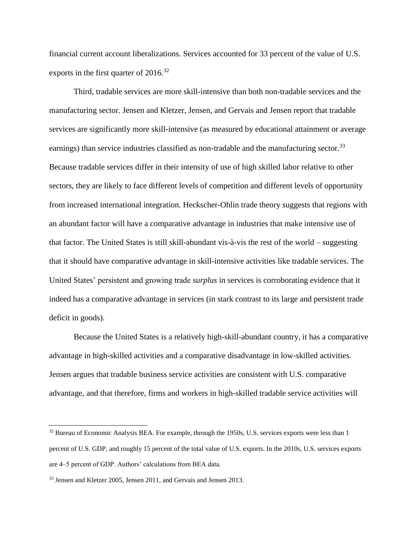financial current account liberalizations. Services accounted for 33 percent of the value of U.S. exports in the first quarter of  $2016$ .<sup>32</sup>

Third, tradable services are more skill-intensive than both non-tradable services and the manufacturing sector. Jensen and Kletzer, Jensen, and Gervais and Jensen report that tradable services are significantly more skill-intensive (as measured by educational attainment or average earnings) than service industries classified as non-tradable and the manufacturing sector.<sup>33</sup> Because tradable services differ in their intensity of use of high skilled labor relative to other sectors, they are likely to face different levels of competition and different levels of opportunity from increased international integration. Heckscher-Ohlin trade theory suggests that regions with an abundant factor will have a comparative advantage in industries that make intensive use of that factor. The United States is still skill-abundant vis-à-vis the rest of the world – suggesting that it should have comparative advantage in skill-intensive activities like tradable services. The United States' persistent and growing trade *surplus* in services is corroborating evidence that it indeed has a comparative advantage in services (in stark contrast to its large and persistent trade deficit in goods).

Because the United States is a relatively high-skill-abundant country, it has a comparative advantage in high-skilled activities and a comparative disadvantage in low-skilled activities. Jensen argues that tradable business service activities are consistent with U.S. comparative advantage, and that therefore, firms and workers in high-skilled tradable service activities will

<sup>&</sup>lt;sup>32</sup> Bureau of Economic Analysis BEA. For example, through the 1950s, U.S. services exports were less than 1 percent of U.S. GDP, and roughly 15 percent of the total value of U.S. exports. In the 2010s, U.S. services exports are 4–5 percent of GDP. Authors' calculations from BEA data.

<sup>&</sup>lt;sup>33</sup> Jensen and Kletzer 2005, Jensen 2011, and Gervais and Jensen 2013.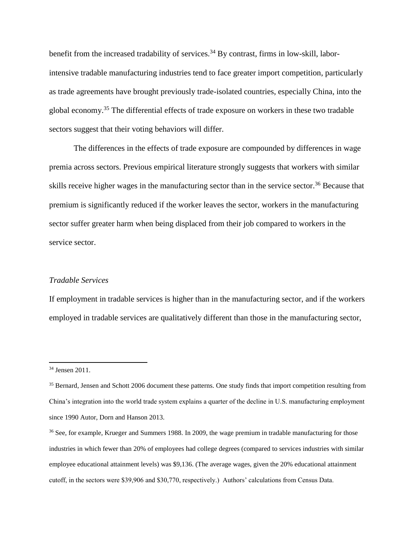benefit from the increased tradability of services.<sup>34</sup> By contrast, firms in low-skill, laborintensive tradable manufacturing industries tend to face greater import competition, particularly as trade agreements have brought previously trade-isolated countries, especially China, into the global economy. <sup>35</sup> The differential effects of trade exposure on workers in these two tradable sectors suggest that their voting behaviors will differ.

The differences in the effects of trade exposure are compounded by differences in wage premia across sectors. Previous empirical literature strongly suggests that workers with similar skills receive higher wages in the manufacturing sector than in the service sector.<sup>36</sup> Because that premium is significantly reduced if the worker leaves the sector, workers in the manufacturing sector suffer greater harm when being displaced from their job compared to workers in the service sector.

#### *Tradable Services*

If employment in tradable services is higher than in the manufacturing sector, and if the workers employed in tradable services are qualitatively different than those in the manufacturing sector,

<sup>34</sup> Jensen 2011.

<sup>&</sup>lt;sup>35</sup> Bernard, Jensen and Schott 2006 document these patterns. One study finds that import competition resulting from China's integration into the world trade system explains a quarter of the decline in U.S. manufacturing employment since 1990 Autor, Dorn and Hanson 2013.

<sup>&</sup>lt;sup>36</sup> See, for example, Krueger and Summers 1988. In 2009, the wage premium in tradable manufacturing for those industries in which fewer than 20% of employees had college degrees (compared to services industries with similar employee educational attainment levels) was \$9,136. (The average wages, given the 20% educational attainment cutoff, in the sectors were \$39,906 and \$30,770, respectively.) Authors' calculations from Census Data.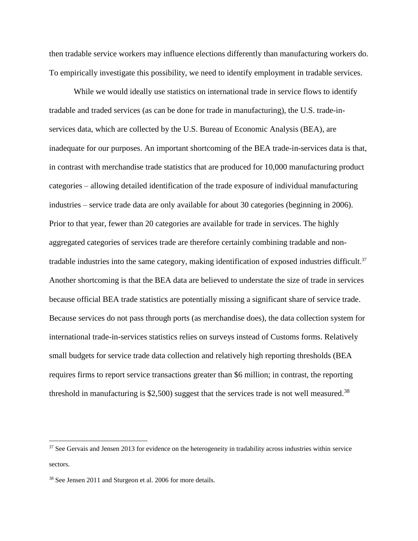then tradable service workers may influence elections differently than manufacturing workers do. To empirically investigate this possibility, we need to identify employment in tradable services.

While we would ideally use statistics on international trade in service flows to identify tradable and traded services (as can be done for trade in manufacturing), the U.S. trade-inservices data, which are collected by the U.S. Bureau of Economic Analysis (BEA), are inadequate for our purposes. An important shortcoming of the BEA trade-in-services data is that, in contrast with merchandise trade statistics that are produced for 10,000 manufacturing product categories – allowing detailed identification of the trade exposure of individual manufacturing industries – service trade data are only available for about 30 categories (beginning in 2006). Prior to that year, fewer than 20 categories are available for trade in services. The highly aggregated categories of services trade are therefore certainly combining tradable and nontradable industries into the same category, making identification of exposed industries difficult.<sup>37</sup> Another shortcoming is that the BEA data are believed to understate the size of trade in services because official BEA trade statistics are potentially missing a significant share of service trade. Because services do not pass through ports (as merchandise does), the data collection system for international trade-in-services statistics relies on surveys instead of Customs forms. Relatively small budgets for service trade data collection and relatively high reporting thresholds (BEA requires firms to report service transactions greater than \$6 million; in contrast, the reporting threshold in manufacturing is \$2,500) suggest that the services trade is not well measured.<sup>38</sup>

l

 $37$  See Gervais and Jensen 2013 for evidence on the heterogeneity in tradability across industries within service sectors.

<sup>38</sup> See Jensen 2011 and Sturgeon et al. 2006 for more details.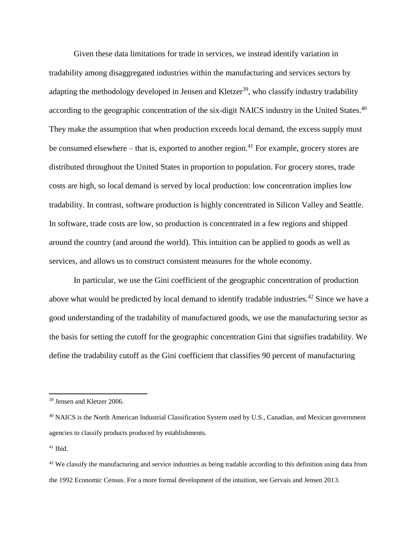Given these data limitations for trade in services, we instead identify variation in tradability among disaggregated industries within the manufacturing and services sectors by adapting the methodology developed in Jensen and Kletzer<sup>39</sup>, who classify industry tradability according to the geographic concentration of the six-digit NAICS industry in the United States.<sup>40</sup> They make the assumption that when production exceeds local demand, the excess supply must be consumed elsewhere  $-$  that is, exported to another region.<sup>41</sup> For example, grocery stores are distributed throughout the United States in proportion to population. For grocery stores, trade costs are high, so local demand is served by local production: low concentration implies low tradability. In contrast, software production is highly concentrated in Silicon Valley and Seattle. In software, trade costs are low, so production is concentrated in a few regions and shipped around the country (and around the world). This intuition can be applied to goods as well as services, and allows us to construct consistent measures for the whole economy.

In particular, we use the Gini coefficient of the geographic concentration of production above what would be predicted by local demand to identify tradable industries.<sup>42</sup> Since we have a good understanding of the tradability of manufactured goods, we use the manufacturing sector as the basis for setting the cutoff for the geographic concentration Gini that signifies tradability. We define the tradability cutoff as the Gini coefficient that classifies 90 percent of manufacturing

<sup>41</sup> Ibid.

<sup>39</sup> Jensen and Kletzer 2006.

<sup>&</sup>lt;sup>40</sup> NAICS is the North American Industrial Classification System used by U.S., Canadian, and Mexican government agencies to classify products produced by establishments.

 $42$  We classify the manufacturing and service industries as being tradable according to this definition using data from the 1992 Economic Census. For a more formal development of the intuition, see Gervais and Jensen 2013.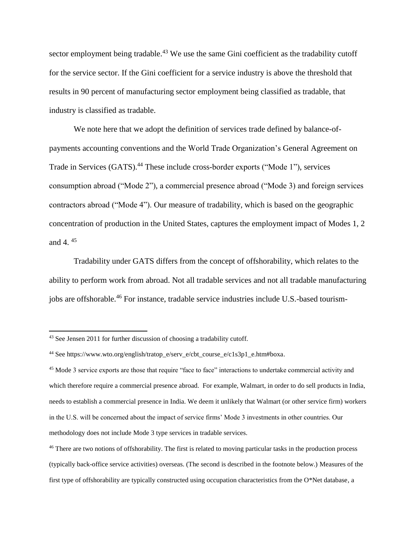sector employment being tradable.<sup>43</sup> We use the same Gini coefficient as the tradability cutoff for the service sector. If the Gini coefficient for a service industry is above the threshold that results in 90 percent of manufacturing sector employment being classified as tradable, that industry is classified as tradable.

We note here that we adopt the definition of services trade defined by balance-ofpayments accounting conventions and the World Trade Organization's General Agreement on Trade in Services (GATS). <sup>44</sup> These include cross-border exports ("Mode 1"), services consumption abroad ("Mode 2"), a commercial presence abroad ("Mode 3) and foreign services contractors abroad ("Mode 4"). Our measure of tradability, which is based on the geographic concentration of production in the United States, captures the employment impact of Modes 1, 2 and 4. <sup>45</sup>

Tradability under GATS differs from the concept of offshorability, which relates to the ability to perform work from abroad. Not all tradable services and not all tradable manufacturing jobs are offshorable.<sup>46</sup> For instance, tradable service industries include U.S.-based tourism-

 $43$  See Jensen 2011 for further discussion of choosing a tradability cutoff.

<sup>&</sup>lt;sup>44</sup> See [https://www.wto.org/english/tratop\\_e/serv\\_e/cbt\\_course\\_e/c1s3p1\\_e.htm#boxa.](https://www.wto.org/english/tratop_e/serv_e/cbt_course_e/c1s3p1_e.htm#boxa)

<sup>&</sup>lt;sup>45</sup> Mode 3 service exports are those that require "face to face" interactions to undertake commercial activity and which therefore require a commercial presence abroad. For example, Walmart, in order to do sell products in India, needs to establish a commercial presence in India. We deem it unlikely that Walmart (or other service firm) workers in the U.S. will be concerned about the impact of service firms' Mode 3 investments in other countries. Our methodology does not include Mode 3 type services in tradable services.

<sup>&</sup>lt;sup>46</sup> There are two notions of offshorability. The first is related to moving particular tasks in the production process (typically back-office service activities) overseas. (The second is described in the footnote below.) Measures of the first type of offshorability are typically constructed using occupation characteristics from the O\*Net database, a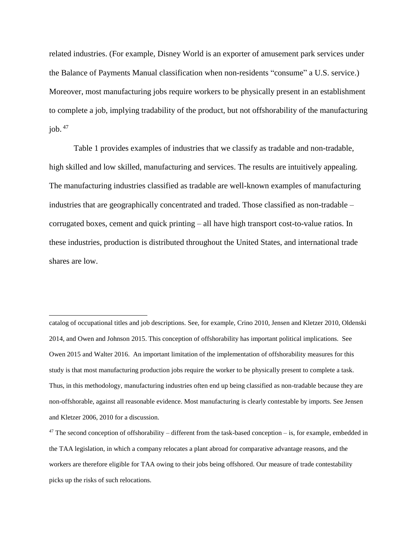related industries. (For example, Disney World is an exporter of amusement park services under the Balance of Payments Manual classification when non-residents "consume" a U.S. service.) Moreover, most manufacturing jobs require workers to be physically present in an establishment to complete a job, implying tradability of the product, but not offshorability of the manufacturing job. $47$ 

Table 1 provides examples of industries that we classify as tradable and non-tradable, high skilled and low skilled, manufacturing and services. The results are intuitively appealing. The manufacturing industries classified as tradable are well-known examples of manufacturing industries that are geographically concentrated and traded. Those classified as non-tradable – corrugated boxes, cement and quick printing – all have high transport cost-to-value ratios. In these industries, production is distributed throughout the United States, and international trade shares are low.

catalog of occupational titles and job descriptions. See, for example, Crino 2010, Jensen and Kletzer 2010, Oldenski 2014, and Owen and Johnson 2015. This conception of offshorability has important political implications. See Owen 2015 and Walter 2016. An important limitation of the implementation of offshorability measures for this study is that most manufacturing production jobs require the worker to be physically present to complete a task. Thus, in this methodology, manufacturing industries often end up being classified as non-tradable because they are non-offshorable, against all reasonable evidence. Most manufacturing is clearly contestable by imports. See Jensen and Kletzer 2006, 2010 for a discussion.

 $\overline{\phantom{a}}$ 

 $47$  The second conception of offshorability – different from the task-based conception – is, for example, embedded in the TAA legislation, in which a company relocates a plant abroad for comparative advantage reasons, and the workers are therefore eligible for TAA owing to their jobs being offshored. Our measure of trade contestability picks up the risks of such relocations.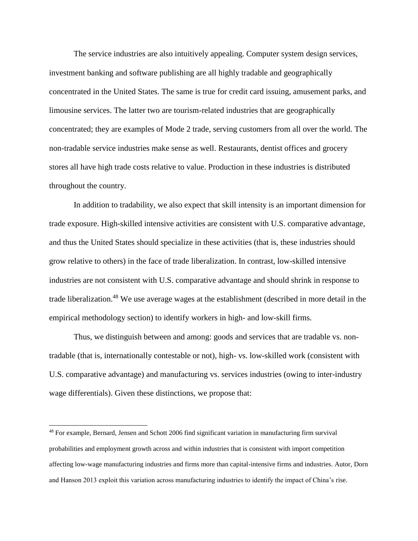The service industries are also intuitively appealing. Computer system design services, investment banking and software publishing are all highly tradable and geographically concentrated in the United States. The same is true for credit card issuing, amusement parks, and limousine services. The latter two are tourism-related industries that are geographically concentrated; they are examples of Mode 2 trade, serving customers from all over the world. The non-tradable service industries make sense as well. Restaurants, dentist offices and grocery stores all have high trade costs relative to value. Production in these industries is distributed throughout the country.

In addition to tradability, we also expect that skill intensity is an important dimension for trade exposure. High-skilled intensive activities are consistent with U.S. comparative advantage, and thus the United States should specialize in these activities (that is, these industries should grow relative to others) in the face of trade liberalization. In contrast, low-skilled intensive industries are not consistent with U.S. comparative advantage and should shrink in response to trade liberalization.<sup>48</sup> We use average wages at the establishment (described in more detail in the empirical methodology section) to identify workers in high- and low-skill firms.

Thus, we distinguish between and among: goods and services that are tradable vs. nontradable (that is, internationally contestable or not), high- vs. low-skilled work (consistent with U.S. comparative advantage) and manufacturing vs. services industries (owing to inter-industry wage differentials). Given these distinctions, we propose that:

<sup>48</sup> For example, Bernard, Jensen and Schott 2006 find significant variation in manufacturing firm survival probabilities and employment growth across and within industries that is consistent with import competition affecting low-wage manufacturing industries and firms more than capital-intensive firms and industries. Autor, Dorn and Hanson 2013 exploit this variation across manufacturing industries to identify the impact of China's rise.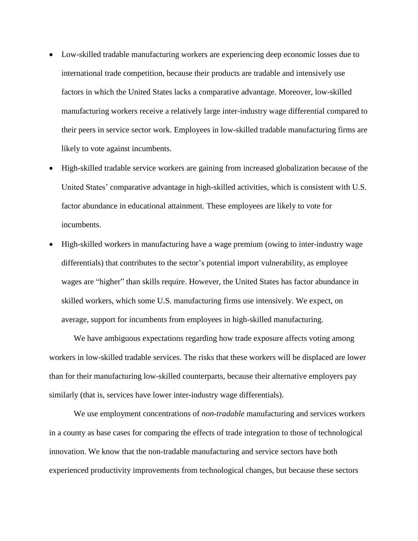- Low-skilled tradable manufacturing workers are experiencing deep economic losses due to international trade competition, because their products are tradable and intensively use factors in which the United States lacks a comparative advantage. Moreover, low-skilled manufacturing workers receive a relatively large inter-industry wage differential compared to their peers in service sector work. Employees in low-skilled tradable manufacturing firms are likely to vote against incumbents.
- High-skilled tradable service workers are gaining from increased globalization because of the United States' comparative advantage in high-skilled activities, which is consistent with U.S. factor abundance in educational attainment. These employees are likely to vote for incumbents.
- High-skilled workers in manufacturing have a wage premium (owing to inter-industry wage differentials) that contributes to the sector's potential import vulnerability, as employee wages are "higher" than skills require. However, the United States has factor abundance in skilled workers, which some U.S. manufacturing firms use intensively. We expect, on average, support for incumbents from employees in high-skilled manufacturing.

We have ambiguous expectations regarding how trade exposure affects voting among workers in low-skilled tradable services. The risks that these workers will be displaced are lower than for their manufacturing low-skilled counterparts, because their alternative employers pay similarly (that is, services have lower inter-industry wage differentials).

We use employment concentrations of *non-tradable* manufacturing and services workers in a county as base cases for comparing the effects of trade integration to those of technological innovation. We know that the non-tradable manufacturing and service sectors have both experienced productivity improvements from technological changes, but because these sectors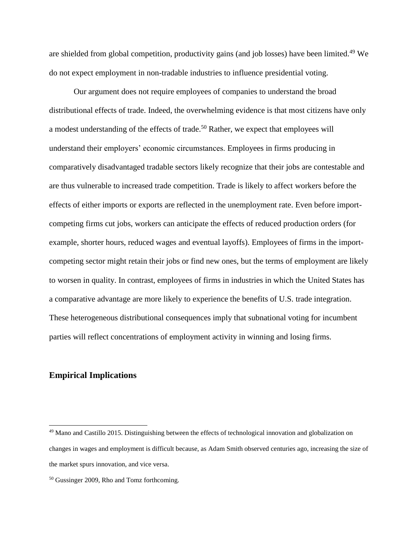are shielded from global competition, productivity gains (and job losses) have been limited.<sup>49</sup> We do not expect employment in non-tradable industries to influence presidential voting.

Our argument does not require employees of companies to understand the broad distributional effects of trade. Indeed, the overwhelming evidence is that most citizens have only a modest understanding of the effects of trade.<sup>50</sup> Rather, we expect that employees will understand their employers' economic circumstances. Employees in firms producing in comparatively disadvantaged tradable sectors likely recognize that their jobs are contestable and are thus vulnerable to increased trade competition. Trade is likely to affect workers before the effects of either imports or exports are reflected in the unemployment rate. Even before importcompeting firms cut jobs, workers can anticipate the effects of reduced production orders (for example, shorter hours, reduced wages and eventual layoffs). Employees of firms in the importcompeting sector might retain their jobs or find new ones, but the terms of employment are likely to worsen in quality. In contrast, employees of firms in industries in which the United States has a comparative advantage are more likely to experience the benefits of U.S. trade integration. These heterogeneous distributional consequences imply that subnational voting for incumbent parties will reflect concentrations of employment activity in winning and losing firms.

#### **Empirical Implications**

<sup>49</sup> Mano and Castillo 2015. Distinguishing between the effects of technological innovation and globalization on changes in wages and employment is difficult because, as Adam Smith observed centuries ago, increasing the size of the market spurs innovation, and vice versa.

<sup>50</sup> Gussinger 2009, Rho and Tomz forthcoming.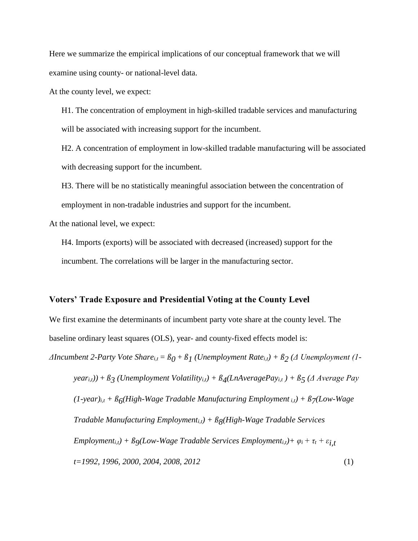Here we summarize the empirical implications of our conceptual framework that we will examine using county- or national-level data.

At the county level, we expect:

H1. The concentration of employment in high-skilled tradable services and manufacturing will be associated with increasing support for the incumbent.

H2. A concentration of employment in low-skilled tradable manufacturing will be associated with decreasing support for the incumbent.

H3. There will be no statistically meaningful association between the concentration of employment in non-tradable industries and support for the incumbent.

At the national level, we expect:

H4. Imports (exports) will be associated with decreased (increased) support for the incumbent. The correlations will be larger in the manufacturing sector.

#### **Voters' Trade Exposure and Presidential Voting at the County Level**

We first examine the determinants of incumbent party vote share at the county level. The baseline ordinary least squares (OLS), year- and county-fixed effects model is:

*ΔIncumbent 2-Party Vote Sharei,t = ß0 + ß1 (Unemployment Ratei,t) + ß2 (Δ Unemployment (1-*

*yeari,t))* + *ß3 (Unemployment Volatilityi,t) + ß4(LnAveragePayi,t ) + ß5 (Δ Average Pay*   $(1-year)_{i,t} + \beta_0(High-Wage\ Tradable\ Manufacturing\ Employment_{i,t}) + \beta_7(Low-Wage)$ *Tradable Manufacturing Employment<sub>i,t</sub>*) +  $\beta$ <sub>8</sub>(*High-Wage Tradable Services Employment*<sub>*i,t*</sub>) +  $\beta$ 9(*Low-Wage Tradable Services Employment*<sub>*i,t*</sub>)+  $\varphi_i$  +  $\tau_t$  +  $\varepsilon_{i,t}$ *t=1992, 1996, 2000, 2004, 2008, 2012* (1)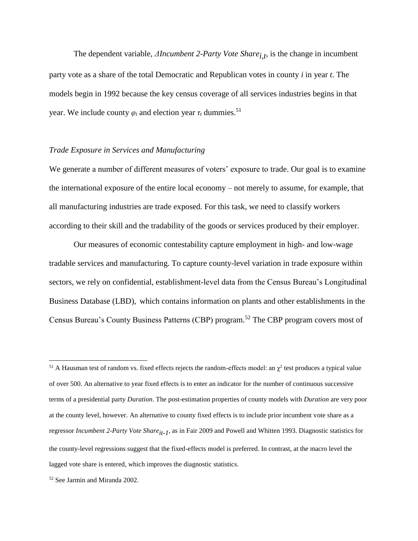The dependent variable, *ΔIncumbent 2-Party Vote Share<sub>i,t</sub>*, is the change in incumbent party vote as a share of the total Democratic and Republican votes in county *i* in year *t*. The models begin in 1992 because the key census coverage of all services industries begins in that year. We include county  $φ<sub>i</sub>$  and election year  $τ<sub>t</sub>$  dummies.<sup>51</sup>

#### *Trade Exposure in Services and Manufacturing*

We generate a number of different measures of voters' exposure to trade. Our goal is to examine the international exposure of the entire local economy – not merely to assume, for example, that all manufacturing industries are trade exposed. For this task, we need to classify workers according to their skill and the tradability of the goods or services produced by their employer.

Our measures of economic contestability capture employment in high- and low-wage tradable services and manufacturing. To capture county-level variation in trade exposure within sectors, we rely on confidential, establishment-level data from the Census Bureau's Longitudinal Business Database (LBD), which contains information on plants and other establishments in the Census Bureau's County Business Patterns (CBP) program.<sup>52</sup> The CBP program covers most of

<sup>&</sup>lt;sup>51</sup> A Hausman test of random vs. fixed effects rejects the random-effects model: an  $\chi^2$  test produces a typical value of over 500. An alternative to year fixed effects is to enter an indicator for the number of continuous successive terms of a presidential party *Duration*. The post-estimation properties of county models with *Duration* are very poor at the county level, however. An alternative to county fixed effects is to include prior incumbent vote share as a regressor *Incumbent 2-Party Vote Share*<sub>it-1</sub>, as in Fair 2009 and Powell and Whitten 1993. Diagnostic statistics for the county-level regressions suggest that the fixed-effects model is preferred. In contrast, at the macro level the lagged vote share is entered, which improves the diagnostic statistics.

<sup>52</sup> See Jarmin and Miranda 2002.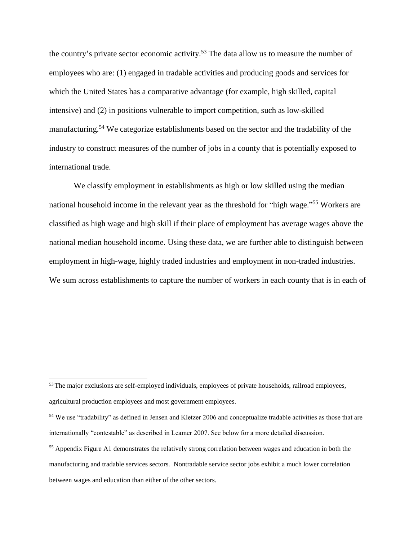the country's private sector economic activity.<sup>53</sup> The data allow us to measure the number of employees who are: (1) engaged in tradable activities and producing goods and services for which the United States has a comparative advantage (for example, high skilled, capital intensive) and (2) in positions vulnerable to import competition, such as low-skilled manufacturing.<sup>54</sup> We categorize establishments based on the sector and the tradability of the industry to construct measures of the number of jobs in a county that is potentially exposed to international trade.

We classify employment in establishments as high or low skilled using the median national household income in the relevant year as the threshold for "high wage."<sup>55</sup> Workers are classified as high wage and high skill if their place of employment has average wages above the national median household income. Using these data, we are further able to distinguish between employment in high-wage, highly traded industries and employment in non-traded industries. We sum across establishments to capture the number of workers in each county that is in each of

<sup>&</sup>lt;sup>53</sup> The major exclusions are self-employed individuals, employees of private households, railroad employees, agricultural production employees and most government employees.

<sup>&</sup>lt;sup>54</sup> We use "tradability" as defined in Jensen and Kletzer 2006 and conceptualize tradable activities as those that are internationally "contestable" as described in Leamer 2007. See below for a more detailed discussion.

<sup>&</sup>lt;sup>55</sup> Appendix Figure A1 demonstrates the relatively strong correlation between wages and education in both the manufacturing and tradable services sectors. Nontradable service sector jobs exhibit a much lower correlation between wages and education than either of the other sectors.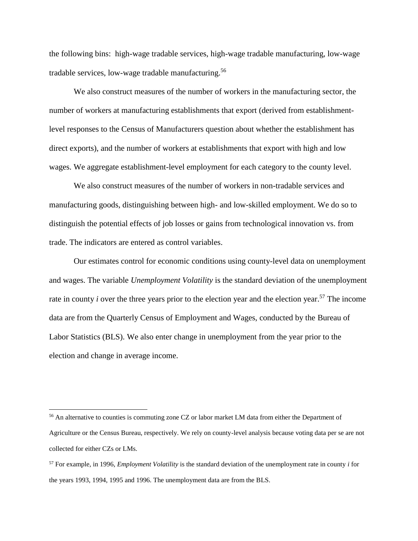the following bins: high-wage tradable services, high-wage tradable manufacturing, low-wage tradable services, low-wage tradable manufacturing.<sup>56</sup>

We also construct measures of the number of workers in the manufacturing sector, the number of workers at manufacturing establishments that export (derived from establishmentlevel responses to the Census of Manufacturers question about whether the establishment has direct exports), and the number of workers at establishments that export with high and low wages. We aggregate establishment-level employment for each category to the county level.

We also construct measures of the number of workers in non-tradable services and manufacturing goods, distinguishing between high- and low-skilled employment. We do so to distinguish the potential effects of job losses or gains from technological innovation vs. from trade. The indicators are entered as control variables.

Our estimates control for economic conditions using county-level data on unemployment and wages. The variable *Unemployment Volatility* is the standard deviation of the unemployment rate in county *i* over the three years prior to the election year and the election year.<sup>57</sup> The income data are from the Quarterly Census of Employment and Wages, conducted by the Bureau of Labor Statistics (BLS). We also enter change in unemployment from the year prior to the election and change in average income.

<sup>56</sup> An alternative to counties is commuting zone CZ or labor market LM data from either the Department of Agriculture or the Census Bureau, respectively. We rely on county-level analysis because voting data per se are not collected for either CZs or LMs.

<sup>57</sup> For example, in 1996, *Employment Volatility* is the standard deviation of the unemployment rate in county *i* for the years 1993, 1994, 1995 and 1996. The unemployment data are from the BLS.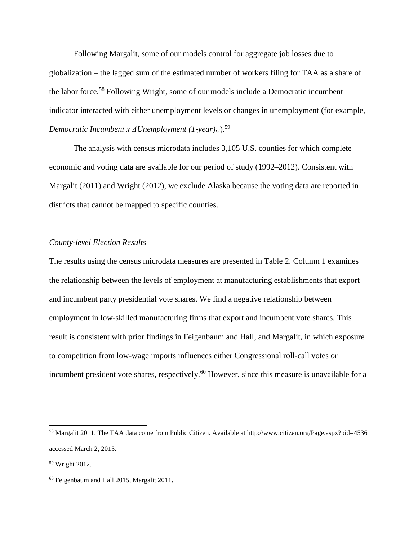Following Margalit, some of our models control for aggregate job losses due to globalization – the lagged sum of the estimated number of workers filing for TAA as a share of the labor force.<sup>58</sup> Following Wright, some of our models include a Democratic incumbent indicator interacted with either unemployment levels or changes in unemployment (for example, *Democratic Incumbent x ΔUnemployment (1-year)i,t*). 59

The analysis with census microdata includes 3,105 U.S. counties for which complete economic and voting data are available for our period of study (1992–2012). Consistent with Margalit (2011) and Wright (2012), we exclude Alaska because the voting data are reported in districts that cannot be mapped to specific counties.

#### *County-level Election Results*

The results using the census microdata measures are presented in Table 2. Column 1 examines the relationship between the levels of employment at manufacturing establishments that export and incumbent party presidential vote shares. We find a negative relationship between employment in low-skilled manufacturing firms that export and incumbent vote shares. This result is consistent with prior findings in Feigenbaum and Hall, and Margalit, in which exposure to competition from low-wage imports influences either Congressional roll-call votes or incumbent president vote shares, respectively.<sup>60</sup> However, since this measure is unavailable for a

<sup>58</sup> Margalit 2011. The TAA data come from Public Citizen. Available at http://www.citizen.org/Page.aspx?pid=4536 accessed March 2, 2015.

<sup>59</sup> Wright 2012.

<sup>60</sup> Feigenbaum and Hall 2015, Margalit 2011.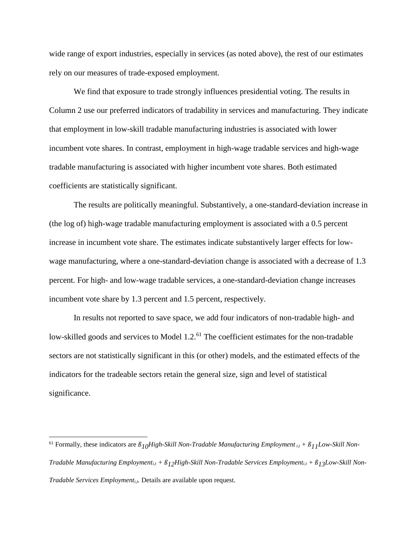wide range of export industries, especially in services (as noted above), the rest of our estimates rely on our measures of trade-exposed employment.

We find that exposure to trade strongly influences presidential voting. The results in Column 2 use our preferred indicators of tradability in services and manufacturing. They indicate that employment in low-skill tradable manufacturing industries is associated with lower incumbent vote shares. In contrast, employment in high-wage tradable services and high-wage tradable manufacturing is associated with higher incumbent vote shares. Both estimated coefficients are statistically significant.

The results are politically meaningful. Substantively, a one-standard-deviation increase in (the log of) high-wage tradable manufacturing employment is associated with a 0.5 percent increase in incumbent vote share. The estimates indicate substantively larger effects for lowwage manufacturing, where a one-standard-deviation change is associated with a decrease of 1.3 percent. For high- and low-wage tradable services, a one-standard-deviation change increases incumbent vote share by 1.3 percent and 1.5 percent, respectively.

In results not reported to save space, we add four indicators of non-tradable high- and low-skilled goods and services to Model 1.2.<sup>61</sup> The coefficient estimates for the non-tradable sectors are not statistically significant in this (or other) models, and the estimated effects of the indicators for the tradeable sectors retain the general size, sign and level of statistical significance.

l

<sup>&</sup>lt;sup>61</sup> Formally, these indicators are  $\beta_{10}$ High-Skill *Non-Tradable Manufacturing Employment*  $_{i,t}$  +  $\beta_{11}$ Low-Skill *Non*-*Tradable Manufacturing Employment<sub>i,t</sub>* +  $\beta_{12}$ High-Skill Non-Tradable Services Employment<sub>i,t</sub> +  $\beta_{13}$ Low-Skill Non-*Tradable Services Employmenti,t.* Details are available upon request.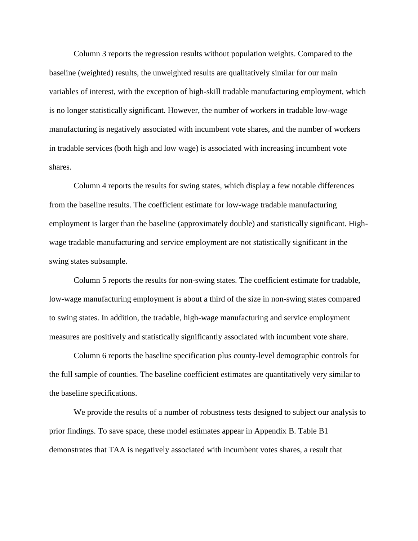Column 3 reports the regression results without population weights. Compared to the baseline (weighted) results, the unweighted results are qualitatively similar for our main variables of interest, with the exception of high-skill tradable manufacturing employment, which is no longer statistically significant. However, the number of workers in tradable low-wage manufacturing is negatively associated with incumbent vote shares, and the number of workers in tradable services (both high and low wage) is associated with increasing incumbent vote shares.

Column 4 reports the results for swing states, which display a few notable differences from the baseline results. The coefficient estimate for low-wage tradable manufacturing employment is larger than the baseline (approximately double) and statistically significant. Highwage tradable manufacturing and service employment are not statistically significant in the swing states subsample.

Column 5 reports the results for non-swing states. The coefficient estimate for tradable, low-wage manufacturing employment is about a third of the size in non-swing states compared to swing states. In addition, the tradable, high-wage manufacturing and service employment measures are positively and statistically significantly associated with incumbent vote share.

Column 6 reports the baseline specification plus county-level demographic controls for the full sample of counties. The baseline coefficient estimates are quantitatively very similar to the baseline specifications.

We provide the results of a number of robustness tests designed to subject our analysis to prior findings. To save space, these model estimates appear in Appendix B. Table B1 demonstrates that TAA is negatively associated with incumbent votes shares, a result that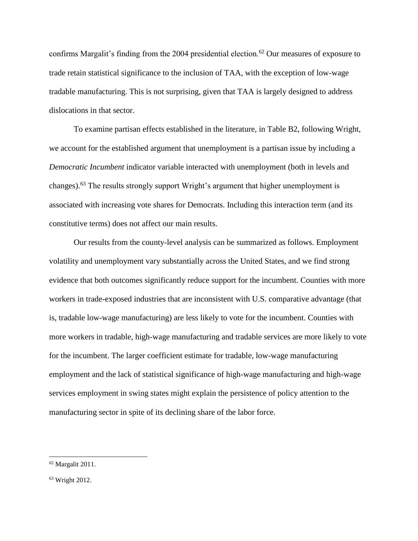confirms Margalit's finding from the 2004 presidential election.<sup>62</sup> Our measures of exposure to trade retain statistical significance to the inclusion of TAA, with the exception of low-wage tradable manufacturing. This is not surprising, given that TAA is largely designed to address dislocations in that sector.

To examine partisan effects established in the literature, in Table B2, following Wright, we account for the established argument that unemployment is a partisan issue by including a *Democratic Incumbent* indicator variable interacted with unemployment (both in levels and changes).<sup>63</sup> The results strongly support Wright's argument that higher unemployment is associated with increasing vote shares for Democrats. Including this interaction term (and its constitutive terms) does not affect our main results.

Our results from the county-level analysis can be summarized as follows. Employment volatility and unemployment vary substantially across the United States, and we find strong evidence that both outcomes significantly reduce support for the incumbent. Counties with more workers in trade-exposed industries that are inconsistent with U.S. comparative advantage (that is, tradable low-wage manufacturing) are less likely to vote for the incumbent. Counties with more workers in tradable, high-wage manufacturing and tradable services are more likely to vote for the incumbent. The larger coefficient estimate for tradable, low-wage manufacturing employment and the lack of statistical significance of high-wage manufacturing and high-wage services employment in swing states might explain the persistence of policy attention to the manufacturing sector in spite of its declining share of the labor force.

 $62$  Margalit 2011.

<sup>63</sup> Wright 2012.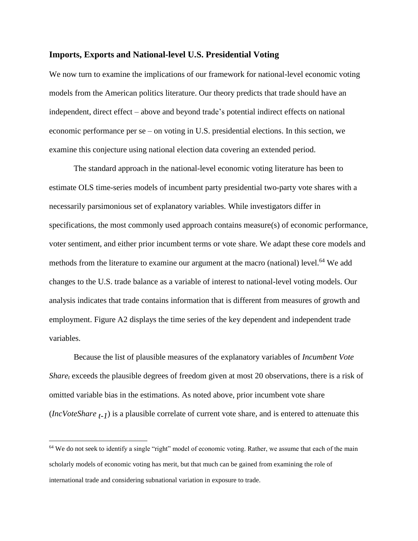#### **Imports, Exports and National-level U.S. Presidential Voting**

We now turn to examine the implications of our framework for national-level economic voting models from the American politics literature. Our theory predicts that trade should have an independent, direct effect – above and beyond trade's potential indirect effects on national economic performance per se – on voting in U.S. presidential elections. In this section, we examine this conjecture using national election data covering an extended period.

The standard approach in the national-level economic voting literature has been to estimate OLS time-series models of incumbent party presidential two-party vote shares with a necessarily parsimonious set of explanatory variables. While investigators differ in specifications, the most commonly used approach contains measure(s) of economic performance, voter sentiment, and either prior incumbent terms or vote share. We adapt these core models and methods from the literature to examine our argument at the macro (national) level.<sup>64</sup> We add changes to the U.S. trade balance as a variable of interest to national-level voting models. Our analysis indicates that trade contains information that is different from measures of growth and employment. Figure A2 displays the time series of the key dependent and independent trade variables.

Because the list of plausible measures of the explanatory variables of *Incumbent Vote Share<sup>t</sup>* exceeds the plausible degrees of freedom given at most 20 observations, there is a risk of omitted variable bias in the estimations. As noted above, prior incumbent vote share (*IncVoteShare t-1*) is a plausible correlate of current vote share, and is entered to attenuate this

l

<sup>&</sup>lt;sup>64</sup> We do not seek to identify a single "right" model of economic voting. Rather, we assume that each of the main scholarly models of economic voting has merit, but that much can be gained from examining the role of international trade and considering subnational variation in exposure to trade.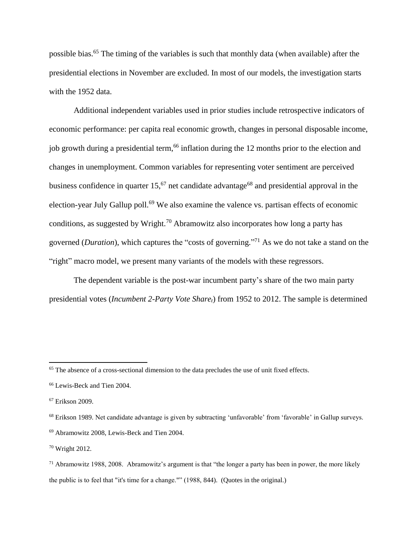possible bias.<sup>65</sup> The timing of the variables is such that monthly data (when available) after the presidential elections in November are excluded. In most of our models, the investigation starts with the 1952 data.

Additional independent variables used in prior studies include retrospective indicators of economic performance: per capita real economic growth, changes in personal disposable income, job growth during a presidential term,<sup>66</sup> inflation during the 12 months prior to the election and changes in unemployment. Common variables for representing voter sentiment are perceived business confidence in quarter  $15$ ,  $67$  net candidate advantage $68$  and presidential approval in the election-year July Gallup poll.<sup>69</sup> We also examine the valence vs. partisan effects of economic conditions, as suggested by Wright.<sup>70</sup> Abramowitz also incorporates how long a party has governed (*Duration*), which captures the "costs of governing." <sup>71</sup> As we do not take a stand on the "right" macro model, we present many variants of the models with these regressors.

The dependent variable is the post-war incumbent party's share of the two main party presidential votes (*Incumbent 2-Party Vote Sharet*) from 1952 to 2012. The sample is determined

<sup>&</sup>lt;sup>65</sup> The absence of a cross-sectional dimension to the data precludes the use of unit fixed effects.

<sup>66</sup> Lewis-Beck and Tien 2004.

<sup>67</sup> Erikson 2009.

<sup>&</sup>lt;sup>68</sup> Erikson 1989. Net candidate advantage is given by subtracting 'unfavorable' from 'favorable' in Gallup surveys. <sup>69</sup> Abramowitz 2008, Lewis-Beck and Tien 2004.

<sup>70</sup> Wright 2012.

 $71$  Abramowitz 1988, 2008. Abramowitz's argument is that "the longer a party has been in power, the more likely the public is to feel that "it's time for a change."" (1988, 844). (Quotes in the original.)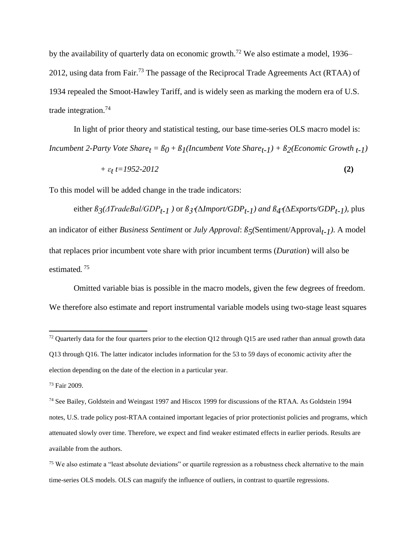by the availability of quarterly data on economic growth.<sup>72</sup> We also estimate a model, 1936– 2012, using data from Fair.<sup>73</sup> The passage of the Reciprocal Trade Agreements Act (RTAA) of 1934 repealed the Smoot-Hawley Tariff, and is widely seen as marking the modern era of U.S. trade integration.<sup>74</sup>

In light of prior theory and statistical testing, our base time-series OLS macro model is: *Incumbent 2-Party Vote Share* $_1 = \beta_0 + \beta_1$ (Incumbent Vote Share<sub>t-1</sub>) +  $\beta_2$ (Economic Growth  $_{t-1}$ )

$$
+ \varepsilon_t t = 1952 - 2012 \tag{2}
$$

To this model will be added change in the trade indicators:

either *ß3(ΔTradeBal/GDPt-1 )* or *ß3′(*Δ*Import/GDPt-1) and ß4′ (*Δ*Exports/GDPt-1)*, plus an indicator of either *Business Sentiment* or *July Approval:*  $\beta$ <sub>5</sub>(Sentiment/Approval<sub>t-1</sub>). A model that replaces prior incumbent vote share with prior incumbent terms (*Duration*) will also be estimated*.* 75

Omitted variable bias is possible in the macro models, given the few degrees of freedom. We therefore also estimate and report instrumental variable models using two-stage least squares

election depending on the date of the election in a particular year.

<sup>&</sup>lt;sup>72</sup> Quarterly data for the four quarters prior to the election Q12 through Q15 are used rather than annual growth data Q13 through Q16. The latter indicator includes information for the 53 to 59 days of economic activity after the

<sup>73</sup> Fair 2009.

<sup>74</sup> See Bailey, Goldstein and Weingast 1997 and Hiscox 1999 for discussions of the RTAA. As Goldstein 1994 notes, U.S. trade policy post-RTAA contained important legacies of prior protectionist policies and programs, which attenuated slowly over time. Therefore, we expect and find weaker estimated effects in earlier periods. Results are available from the authors.

<sup>&</sup>lt;sup>75</sup> We also estimate a "least absolute deviations" or quartile regression as a robustness check alternative to the main time-series OLS models. OLS can magnify the influence of outliers, in contrast to quartile regressions.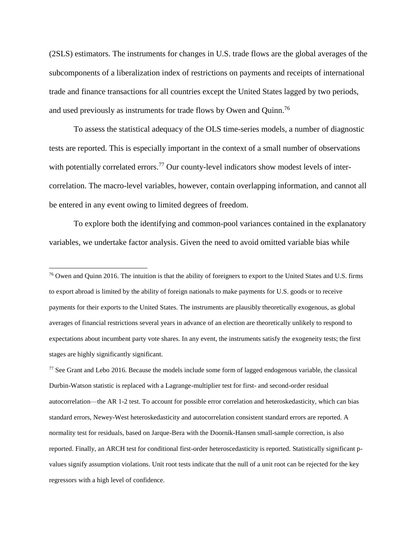(2SLS) estimators. The instruments for changes in U.S. trade flows are the global averages of the subcomponents of a liberalization index of restrictions on payments and receipts of international trade and finance transactions for all countries except the United States lagged by two periods, and used previously as instruments for trade flows by Owen and Quinn.<sup>76</sup>

To assess the statistical adequacy of the OLS time-series models, a number of diagnostic tests are reported. This is especially important in the context of a small number of observations with potentially correlated errors.<sup>77</sup> Our county-level indicators show modest levels of intercorrelation. The macro-level variables, however, contain overlapping information, and cannot all be entered in any event owing to limited degrees of freedom.

To explore both the identifying and common-pool variances contained in the explanatory variables, we undertake factor analysis. Given the need to avoid omitted variable bias while

 $\overline{\phantom{a}}$ 

 $77$  See Grant and Lebo 2016. Because the models include some form of lagged endogenous variable, the classical Durbin-Watson statistic is replaced with a Lagrange-multiplier test for first- and second-order residual autocorrelation—the AR 1-2 test. To account for possible error correlation and heteroskedasticity, which can bias standard errors, Newey-West heteroskedasticity and autocorrelation consistent standard errors are reported. A normality test for residuals, based on Jarque-Bera with the Doornik-Hansen small-sample correction, is also reported. Finally, an ARCH test for conditional first-order heteroscedasticity is reported. Statistically significant pvalues signify assumption violations. Unit root tests indicate that the null of a unit root can be rejected for the key regressors with a high level of confidence.

 $76$  Owen and Quinn 2016. The intuition is that the ability of foreigners to export to the United States and U.S. firms to export abroad is limited by the ability of foreign nationals to make payments for U.S. goods or to receive payments for their exports to the United States. The instruments are plausibly theoretically exogenous, as global averages of financial restrictions several years in advance of an election are theoretically unlikely to respond to expectations about incumbent party vote shares. In any event, the instruments satisfy the exogeneity tests; the first stages are highly significantly significant.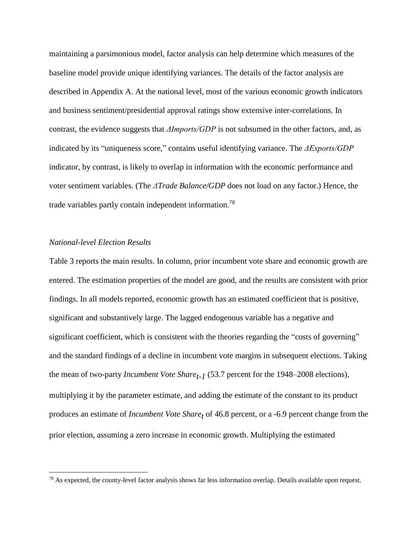maintaining a parsimonious model, factor analysis can help determine which measures of the baseline model provide unique identifying variances. The details of the factor analysis are described in Appendix A. At the national level, most of the various economic growth indicators and business sentiment/presidential approval ratings show extensive inter-correlations. In contrast, the evidence suggests that *ΔImports/GDP* is not subsumed in the other factors, and, as indicated by its "uniqueness score," contains useful identifying variance. The *ΔExports/GDP*  indicator, by contrast, is likely to overlap in information with the economic performance and voter sentiment variables. (The *ΔTrade Balance/GDP* does not load on any factor.) Hence, the trade variables partly contain independent information.<sup>78</sup>

#### *National-level Election Results*

 $\overline{\phantom{a}}$ 

Table 3 reports the main results. In column, prior incumbent vote share and economic growth are entered. The estimation properties of the model are good, and the results are consistent with prior findings. In all models reported, economic growth has an estimated coefficient that is positive, significant and substantively large. The lagged endogenous variable has a negative and significant coefficient, which is consistent with the theories regarding the "costs of governing" and the standard findings of a decline in incumbent vote margins in subsequent elections. Taking the mean of two-party *Incumbent Vote Share<sub>t-1</sub>* (53.7 percent for the 1948–2008 elections), multiplying it by the parameter estimate, and adding the estimate of the constant to its product produces an estimate of *Incumbent Vote Share<sub>t</sub>* of 46.8 percent, or a -6.9 percent change from the prior election, assuming a zero increase in economic growth. Multiplying the estimated

 $78$  As expected, the county-level factor analysis shows far less information overlap. Details available upon request.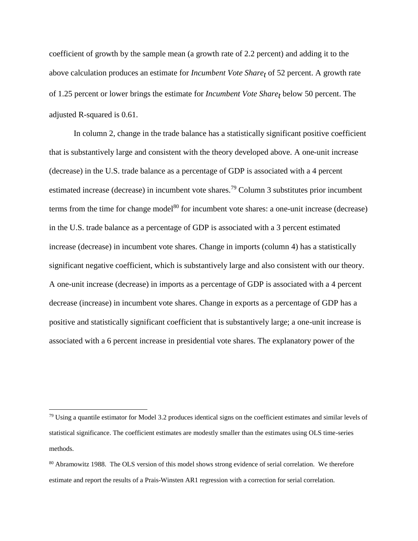coefficient of growth by the sample mean (a growth rate of 2.2 percent) and adding it to the above calculation produces an estimate for *Incumbent Vote Share<sub>t</sub>* of 52 percent. A growth rate of 1.25 percent or lower brings the estimate for *Incumbent Vote Share<sub>t</sub>* below 50 percent. The adjusted R-squared is 0.61.

In column 2, change in the trade balance has a statistically significant positive coefficient that is substantively large and consistent with the theory developed above. A one-unit increase (decrease) in the U.S. trade balance as a percentage of GDP is associated with a 4 percent estimated increase (decrease) in incumbent vote shares.<sup>79</sup> Column 3 substitutes prior incumbent terms from the time for change model<sup>80</sup> for incumbent vote shares: a one-unit increase (decrease) in the U.S. trade balance as a percentage of GDP is associated with a 3 percent estimated increase (decrease) in incumbent vote shares. Change in imports (column 4) has a statistically significant negative coefficient, which is substantively large and also consistent with our theory. A one-unit increase (decrease) in imports as a percentage of GDP is associated with a 4 percent decrease (increase) in incumbent vote shares. Change in exports as a percentage of GDP has a positive and statistically significant coefficient that is substantively large; a one-unit increase is associated with a 6 percent increase in presidential vote shares. The explanatory power of the

 $79$  Using a quantile estimator for Model 3.2 produces identical signs on the coefficient estimates and similar levels of statistical significance. The coefficient estimates are modestly smaller than the estimates using OLS time-series methods.

<sup>80</sup> Abramowitz 1988. The OLS version of this model shows strong evidence of serial correlation. We therefore estimate and report the results of a Prais-Winsten AR1 regression with a correction for serial correlation.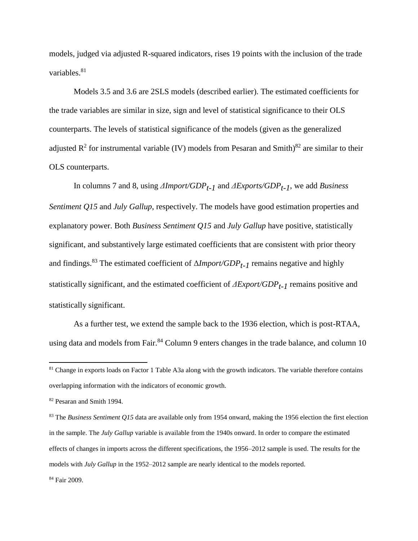models, judged via adjusted R-squared indicators, rises 19 points with the inclusion of the trade variables.<sup>81</sup>

Models 3.5 and 3.6 are 2SLS models (described earlier). The estimated coefficients for the trade variables are similar in size, sign and level of statistical significance to their OLS counterparts. The levels of statistical significance of the models (given as the generalized adjusted  $\mathbb{R}^2$  for instrumental variable (IV) models from Pesaran and Smith)<sup>82</sup> are similar to their OLS counterparts.

In columns 7 and 8, using *ΔImport/GDPt-1* and *ΔExports/GDPt-1*, we add *Business Sentiment Q15* and *July Gallup*, respectively. The models have good estimation properties and explanatory power. Both *Business Sentiment Q15* and *July Gallup* have positive, statistically significant, and substantively large estimated coefficients that are consistent with prior theory and findings.<sup>83</sup> The estimated coefficient of  $\Delta$ *Import/GDP<sub>t-1</sub>* remains negative and highly statistically significant, and the estimated coefficient of *ΔExport/GDPt-1* remains positive and statistically significant.

As a further test, we extend the sample back to the 1936 election, which is post-RTAA, using data and models from Fair.<sup>84</sup> Column 9 enters changes in the trade balance, and column 10

<sup>&</sup>lt;sup>81</sup> Change in exports loads on Factor 1 Table A3a along with the growth indicators. The variable therefore contains overlapping information with the indicators of economic growth.

<sup>82</sup> Pesaran and Smith 1994.

<sup>83</sup> The *Business Sentiment Q15* data are available only from 1954 onward, making the 1956 election the first election in the sample. The *July Gallup* variable is available from the 1940s onward. In order to compare the estimated effects of changes in imports across the different specifications, the 1956–2012 sample is used. The results for the models with *July Gallup* in the 1952–2012 sample are nearly identical to the models reported. <sup>84</sup> Fair 2009.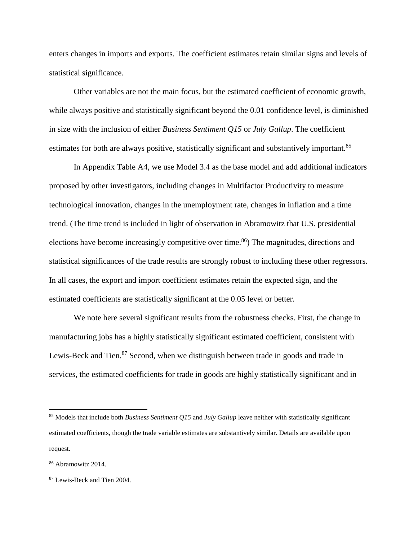enters changes in imports and exports. The coefficient estimates retain similar signs and levels of statistical significance.

Other variables are not the main focus, but the estimated coefficient of economic growth, while always positive and statistically significant beyond the 0.01 confidence level, is diminished in size with the inclusion of either *Business Sentiment Q15* or *July Gallup*. The coefficient estimates for both are always positive, statistically significant and substantively important.<sup>85</sup>

In Appendix Table A4, we use Model 3.4 as the base model and add additional indicators proposed by other investigators, including changes in Multifactor Productivity to measure technological innovation, changes in the unemployment rate, changes in inflation and a time trend. (The time trend is included in light of observation in Abramowitz that U.S. presidential elections have become increasingly competitive over time.<sup>86</sup>) The magnitudes, directions and statistical significances of the trade results are strongly robust to including these other regressors. In all cases, the export and import coefficient estimates retain the expected sign, and the estimated coefficients are statistically significant at the 0.05 level or better.

We note here several significant results from the robustness checks. First, the change in manufacturing jobs has a highly statistically significant estimated coefficient, consistent with Lewis-Beck and Tien.<sup>87</sup> Second, when we distinguish between trade in goods and trade in services, the estimated coefficients for trade in goods are highly statistically significant and in

<sup>85</sup> Models that include both *Business Sentiment Q15* and *July Gallup* leave neither with statistically significant estimated coefficients, though the trade variable estimates are substantively similar. Details are available upon request.

<sup>86</sup> Abramowitz 2014.

<sup>87</sup> Lewis-Beck and Tien 2004.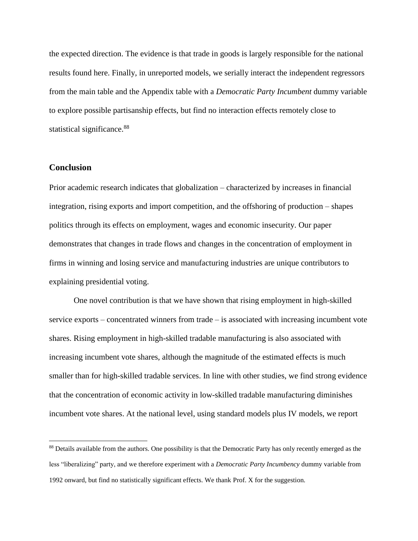the expected direction. The evidence is that trade in goods is largely responsible for the national results found here. Finally, in unreported models, we serially interact the independent regressors from the main table and the Appendix table with a *Democratic Party Incumbent* dummy variable to explore possible partisanship effects, but find no interaction effects remotely close to statistical significance.<sup>88</sup>

#### **Conclusion**

l

Prior academic research indicates that globalization – characterized by increases in financial integration, rising exports and import competition, and the offshoring of production – shapes politics through its effects on employment, wages and economic insecurity. Our paper demonstrates that changes in trade flows and changes in the concentration of employment in firms in winning and losing service and manufacturing industries are unique contributors to explaining presidential voting.

One novel contribution is that we have shown that rising employment in high-skilled service exports – concentrated winners from trade – is associated with increasing incumbent vote shares. Rising employment in high-skilled tradable manufacturing is also associated with increasing incumbent vote shares, although the magnitude of the estimated effects is much smaller than for high-skilled tradable services. In line with other studies, we find strong evidence that the concentration of economic activity in low-skilled tradable manufacturing diminishes incumbent vote shares. At the national level, using standard models plus IV models, we report

<sup>&</sup>lt;sup>88</sup> Details available from the authors. One possibility is that the Democratic Party has only recently emerged as the less "liberalizing" party, and we therefore experiment with a *Democratic Party Incumbency* dummy variable from 1992 onward, but find no statistically significant effects. We thank Prof. X for the suggestion.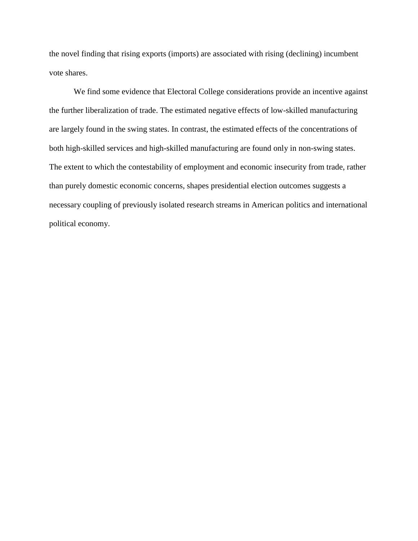the novel finding that rising exports (imports) are associated with rising (declining) incumbent vote shares.

We find some evidence that Electoral College considerations provide an incentive against the further liberalization of trade. The estimated negative effects of low-skilled manufacturing are largely found in the swing states. In contrast, the estimated effects of the concentrations of both high-skilled services and high-skilled manufacturing are found only in non-swing states. The extent to which the contestability of employment and economic insecurity from trade, rather than purely domestic economic concerns, shapes presidential election outcomes suggests a necessary coupling of previously isolated research streams in American politics and international political economy.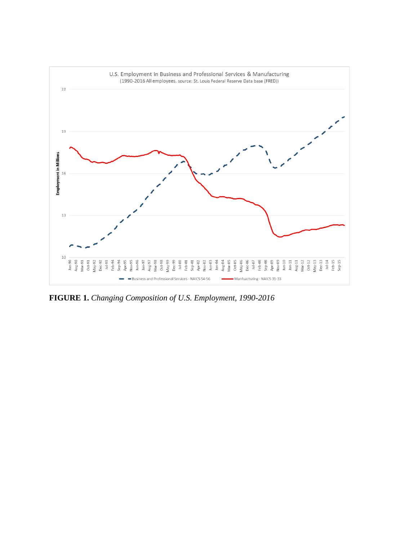

**FIGURE 1.** *Changing Composition of U.S. Employment, 1990-2016*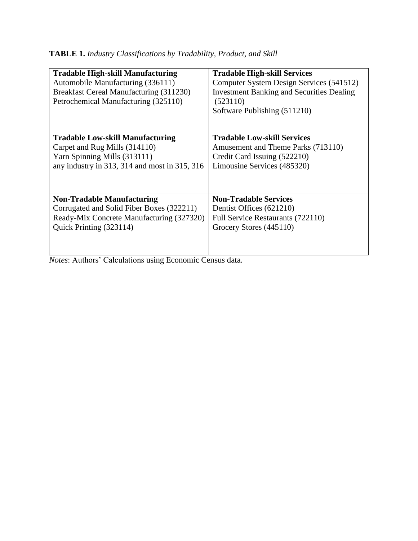|  | TABLE 1. Industry Classifications by Tradability, Product, and Skill |  |
|--|----------------------------------------------------------------------|--|
|  |                                                                      |  |

| <b>Tradable High-skill Manufacturing</b><br>Automobile Manufacturing (336111)<br>Breakfast Cereal Manufacturing (311230)<br>Petrochemical Manufacturing (325110) | <b>Tradable High-skill Services</b><br>Computer System Design Services (541512)<br><b>Investment Banking and Securities Dealing</b><br>(523110)<br>Software Publishing (511210) |
|------------------------------------------------------------------------------------------------------------------------------------------------------------------|---------------------------------------------------------------------------------------------------------------------------------------------------------------------------------|
| <b>Tradable Low-skill Manufacturing</b><br>Carpet and Rug Mills (314110)<br>Yarn Spinning Mills (313111)                                                         | <b>Tradable Low-skill Services</b><br>Amusement and Theme Parks (713110)<br>Credit Card Issuing (522210)                                                                        |
| any industry in 313, 314 and most in 315, 316                                                                                                                    | Limousine Services (485320)                                                                                                                                                     |
| <b>Non-Tradable Manufacturing</b>                                                                                                                                | <b>Non-Tradable Services</b>                                                                                                                                                    |
| Corrugated and Solid Fiber Boxes (322211)                                                                                                                        | Dentist Offices (621210)                                                                                                                                                        |
| Ready-Mix Concrete Manufacturing (327320)                                                                                                                        | Full Service Restaurants (722110)                                                                                                                                               |
| Quick Printing (323114)                                                                                                                                          | Grocery Stores (445110)                                                                                                                                                         |

*Notes*: Authors' Calculations using Economic Census data.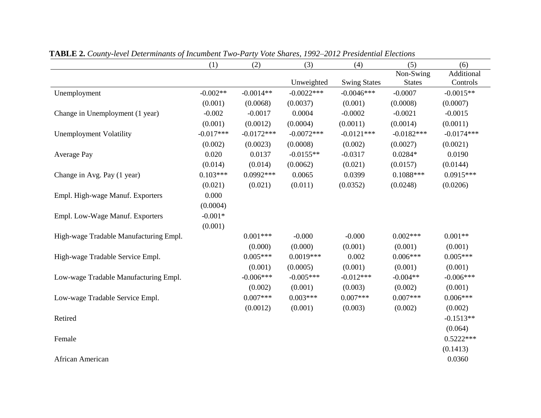|                                        | (1)         | (2)          | (3)          | (4)                 | (5)                        | (6)                    |
|----------------------------------------|-------------|--------------|--------------|---------------------|----------------------------|------------------------|
|                                        |             |              | Unweighted   | <b>Swing States</b> | Non-Swing<br><b>States</b> | Additional<br>Controls |
| Unemployment                           | $-0.002**$  | $-0.0014**$  | $-0.0022***$ | $-0.0046***$        | $-0.0007$                  | $-0.0015**$            |
|                                        | (0.001)     | (0.0068)     | (0.0037)     | (0.001)             | (0.0008)                   | (0.0007)               |
| Change in Unemployment (1 year)        | $-0.002$    | $-0.0017$    | 0.0004       | $-0.0002$           | $-0.0021$                  | $-0.0015$              |
|                                        | (0.001)     | (0.0012)     | (0.0004)     | (0.0011)            | (0.0014)                   | (0.0011)               |
| <b>Unemployment Volatility</b>         | $-0.017***$ | $-0.0172***$ | $-0.0072***$ | $-0.0121***$        | $-0.0182***$               | $-0.0174***$           |
|                                        | (0.002)     | (0.0023)     | (0.0008)     | (0.002)             | (0.0027)                   | (0.0021)               |
| Average Pay                            | 0.020       | 0.0137       | $-0.0155**$  | $-0.0317$           | $0.0284*$                  | 0.0190                 |
|                                        | (0.014)     | (0.014)      | (0.0062)     | (0.021)             | (0.0157)                   | (0.0144)               |
| Change in Avg. Pay (1 year)            | $0.103***$  | $0.0992***$  | 0.0065       | 0.0399              | $0.1088***$                | $0.0915***$            |
|                                        | (0.021)     | (0.021)      | (0.011)      | (0.0352)            | (0.0248)                   | (0.0206)               |
| Empl. High-wage Manuf. Exporters       | 0.000       |              |              |                     |                            |                        |
|                                        | (0.0004)    |              |              |                     |                            |                        |
| Empl. Low-Wage Manuf. Exporters        | $-0.001*$   |              |              |                     |                            |                        |
|                                        | (0.001)     |              |              |                     |                            |                        |
| High-wage Tradable Manufacturing Empl. |             | $0.001***$   | $-0.000$     | $-0.000$            | $0.002***$                 | $0.001**$              |
|                                        |             | (0.000)      | (0.000)      | (0.001)             | (0.001)                    | (0.001)                |
| High-wage Tradable Service Empl.       |             | $0.005***$   | $0.0019***$  | 0.002               | $0.006***$                 | $0.005***$             |
|                                        |             | (0.001)      | (0.0005)     | (0.001)             | (0.001)                    | (0.001)                |
| Low-wage Tradable Manufacturing Empl.  |             | $-0.006***$  | $-0.005***$  | $-0.012***$         | $-0.004**$                 | $-0.006***$            |
|                                        |             | (0.002)      | (0.001)      | (0.003)             | (0.002)                    | (0.001)                |
| Low-wage Tradable Service Empl.        |             | $0.007***$   | $0.003***$   | $0.007***$          | $0.007***$                 | $0.006***$             |
|                                        |             | (0.0012)     | (0.001)      | (0.003)             | (0.002)                    | (0.002)                |
| Retired                                |             |              |              |                     |                            | $-0.1513**$            |
|                                        |             |              |              |                     |                            | (0.064)                |
| Female                                 |             |              |              |                     |                            | $0.5222***$            |
|                                        |             |              |              |                     |                            | (0.1413)               |
| African American                       |             |              |              |                     |                            | 0.0360                 |

**TABLE 2.** *County-level Determinants of Incumbent Two-Party Vote Shares, 1992–2012 Presidential Elections*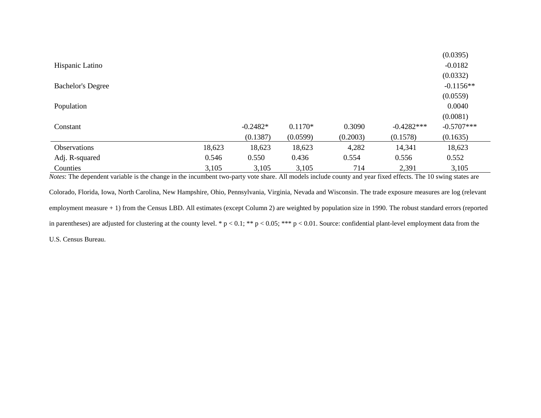|                                                                                                                                                                      |        |            |           |          |              | (0.0395)     |
|----------------------------------------------------------------------------------------------------------------------------------------------------------------------|--------|------------|-----------|----------|--------------|--------------|
| Hispanic Latino                                                                                                                                                      |        |            |           |          |              | $-0.0182$    |
|                                                                                                                                                                      |        |            |           |          |              | (0.0332)     |
| <b>Bachelor's Degree</b>                                                                                                                                             |        |            |           |          |              | $-0.1156**$  |
|                                                                                                                                                                      |        |            |           |          |              | (0.0559)     |
| Population                                                                                                                                                           |        |            |           |          |              | 0.0040       |
|                                                                                                                                                                      |        |            |           |          |              | (0.0081)     |
| Constant                                                                                                                                                             |        | $-0.2482*$ | $0.1170*$ | 0.3090   | $-0.4282***$ | $-0.5707***$ |
|                                                                                                                                                                      |        | (0.1387)   | (0.0599)  | (0.2003) | (0.1578)     | (0.1635)     |
| <b>Observations</b>                                                                                                                                                  | 18,623 | 18,623     | 18,623    | 4,282    | 14,341       | 18,623       |
| Adj. R-squared                                                                                                                                                       | 0.546  | 0.550      | 0.436     | 0.554    | 0.556        | 0.552        |
| <b>Counties</b>                                                                                                                                                      | 3,105  | 3,105      | 3,105     | 714      | 2,391        | 3,105        |
| <i>Notes</i> : The dependent variable is the change in the incumbent two-party vote share. All models include county and year fixed effects. The 10 swing states are |        |            |           |          |              |              |

Colorado, Florida, Iowa, North Carolina, New Hampshire, Ohio, Pennsylvania, Virginia, Nevada and Wisconsin. The trade exposure measures are log (relevant employment measure + 1) from the Census LBD. All estimates (except Column 2) are weighted by population size in 1990. The robust standard errors (reported in parentheses) are adjusted for clustering at the county level. \*  $p < 0.1$ ; \*\*  $p < 0.05$ ; \*\*\*  $p < 0.01$ . Source: confidential plant-level employment data from the U.S. Census Bureau.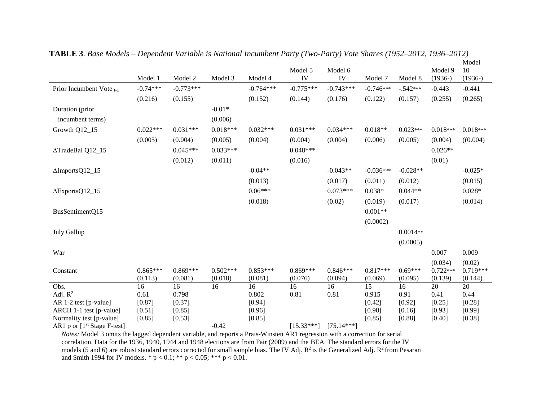|                                    |            |             |            |             | Model 5      | Model 6      |             |            | Model 9    | 10         |
|------------------------------------|------------|-------------|------------|-------------|--------------|--------------|-------------|------------|------------|------------|
|                                    | Model 1    | Model 2     | Model 3    | Model 4     | IV           | IV           | Model 7     | Model 8    | $(1936-)$  | $(1936-)$  |
| Prior Incumbent Vote t-1           | $-0.74***$ | $-0.773***$ |            | $-0.764***$ | $-0.775***$  | $-0.743***$  | $-0.746***$ | $-.542***$ | $-0.443$   | $-0.441$   |
|                                    | (0.216)    | (0.155)     |            | (0.152)     | (0.144)      | (0.176)      | (0.122)     | (0.157)    | (0.255)    | (0.265)    |
| Duration (prior                    |            |             | $-0.01*$   |             |              |              |             |            |            |            |
| incumbent terms)                   |            |             | (0.006)    |             |              |              |             |            |            |            |
| Growth Q12_15                      | $0.022***$ | $0.031***$  | $0.018***$ | $0.032***$  | $0.031***$   | $0.034***$   | $0.018**$   | $0.023***$ | $0.018***$ | $0.018***$ |
|                                    | (0.005)    | (0.004)     | (0.005)    | (0.004)     | (0.004)      | (0.004)      | (0.006)     | (0.005)    | (0.004)    | ((0.004)   |
| ∆TradeBal Q12_15                   |            | $0.045***$  | $0.033***$ |             | $0.048***$   |              |             |            | $0.026**$  |            |
|                                    |            | (0.012)     | (0.011)    |             | (0.016)      |              |             |            | (0.01)     |            |
| ΔImportsQ12_15                     |            |             |            | $-0.04**$   |              | $-0.043**$   | $-0.036***$ | $-0.028**$ |            | $-0.025*$  |
|                                    |            |             |            | (0.013)     |              | (0.017)      | (0.011)     | (0.012)    |            | (0.015)    |
| $\Delta$ ExportsQ12_15             |            |             |            | $0.06***$   |              | $0.073***$   | $0.038*$    | $0.044**$  |            | $0.028*$   |
|                                    |            |             |            | (0.018)     |              | (0.02)       | (0.019)     | (0.017)    |            | (0.014)    |
| BusSentimentQ15                    |            |             |            |             |              |              | $0.001**$   |            |            |            |
|                                    |            |             |            |             |              |              | (0.0002)    |            |            |            |
| July Gallup                        |            |             |            |             |              |              |             | $0.0014**$ |            |            |
|                                    |            |             |            |             |              |              |             | (0.0005)   |            |            |
| War                                |            |             |            |             |              |              |             |            | 0.007      | 0.009      |
|                                    |            |             |            |             |              |              |             |            | (0.034)    | (0.02)     |
| Constant                           | $0.865***$ | $0.869***$  | $0.502***$ | $0.853***$  | $0.869***$   | $0.846***$   | $0.817***$  | $0.69***$  | $0.722***$ | $0.719***$ |
|                                    | (0.113)    | (0.081)     | (0.018)    | (0.081)     | (0.076)      | (0.094)      | (0.069)     | (0.095)    | (0.139)    | (0.144)    |
| Obs.                               | 16         | 16          | 16         | 16          | 16           | 16           | 15          | 16         | 20         | 20         |
| Adj. $R^2$                         | 0.61       | 0.798       |            | 0.802       | 0.81         | 0.81         | 0.915       | 0.91       | 0.41       | 0.44       |
| AR 1-2 test [p-value]              | [0.87]     | [0.37]      |            | [0.94]      |              |              | [0.42]      | [0.92]     | [0.25]     | [0.28]     |
| ARCH 1-1 test [p-value]            | [0.51]     | [0.85]      |            | [0.96]      |              |              | [0.98]      | [0.16]     | [0.93]     | [0.99]     |
| Normality test [p-value]           | [0.85]     | [0.53]      |            | [0.85]      |              |              | [0.85]      | [0.88]     | [0.40]     | [0.38]     |
| AR1 $\rho$ or $[1st Stage F-test]$ |            |             | $-0.42$    |             | $[15.33***]$ | $[75.14***]$ |             |            |            |            |

**TABLE 3**. *Base Models – Dependent Variable is National Incumbent Party (Two-Party) Vote Shares (1952–2012, 1936–2012)* Model

*Notes:* Model 3 omits the lagged dependent variable, and reports a Prais-Winsten AR1 regression with a correction for serial correlation. Data for the 1936, 1940, 1944 and 1948 elections are from Fair (2009) and the BEA. The standard errors for the IV models (5 and 6) are robust standard errors corrected for small sample bias. The IV Adj.  $R^2$  is the Generalized Adj.  $R^2$  from Pesaran and Smith 1994 for IV models. \*  $p < 0.1$ ; \*\*  $p < 0.05$ ; \*\*\*  $p < 0.01$ .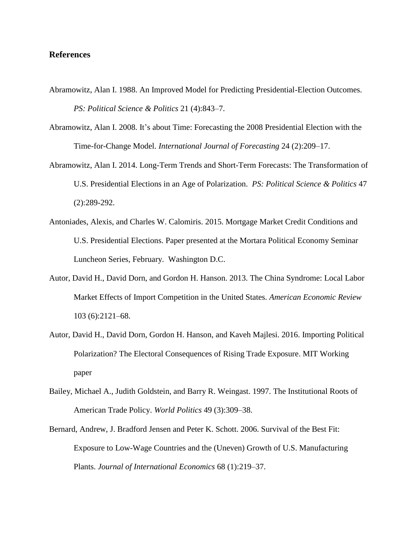### **References**

- Abramowitz, Alan I. 1988. An Improved Model for Predicting Presidential-Election Outcomes. *PS: Political Science & Politics* 21 (4):843–7.
- Abramowitz, Alan I. 2008. It's about Time: Forecasting the 2008 Presidential Election with the Time-for-Change Model. *International Journal of Forecasting* 24 (2):209–17.
- Abramowitz, Alan I. 2014. Long-Term Trends and Short-Term Forecasts: The Transformation of U.S. Presidential Elections in an Age of Polarization. *PS: Political Science & Politics* 47 (2):289-292.
- Antoniades, Alexis, and Charles W. Calomiris. 2015. Mortgage Market Credit Conditions and U.S. Presidential Elections. Paper presented at the Mortara Political Economy Seminar Luncheon Series, February. Washington D.C.
- Autor, David H., David Dorn, and Gordon H. Hanson. 2013. The China Syndrome: Local Labor Market Effects of Import Competition in the United States. *American Economic Review* 103 (6):2121–68.
- Autor, David H., David Dorn, Gordon H. Hanson, and Kaveh Majlesi. 2016. Importing Political Polarization? The Electoral Consequences of Rising Trade Exposure. MIT Working paper
- Bailey, Michael A., Judith Goldstein, and Barry R. Weingast. 1997. The Institutional Roots of American Trade Policy. *World Politics* 49 (3):309–38.
- Bernard, Andrew, J. Bradford Jensen and Peter K. Schott. 2006. Survival of the Best Fit: Exposure to Low-Wage Countries and the (Uneven) Growth of U.S. Manufacturing Plants. *Journal of International Economics* 68 (1):219–37.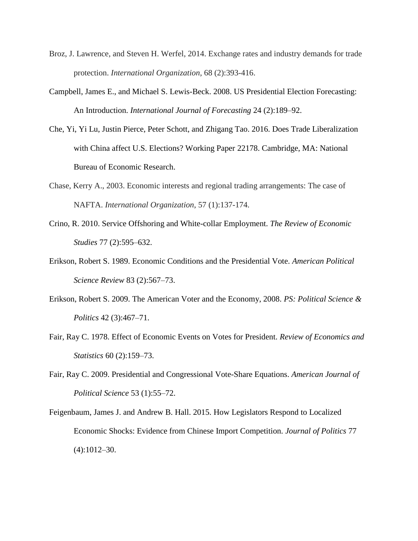- Broz, J. Lawrence, and Steven H. Werfel, 2014. Exchange rates and industry demands for trade protection. *International Organization*, 68 (2):393-416.
- Campbell, James E., and Michael S. Lewis-Beck. 2008. US Presidential Election Forecasting: An Introduction. *International Journal of Forecasting* 24 (2):189–92.
- Che, Yi, Yi Lu, Justin Pierce, Peter Schott, and Zhigang Tao. 2016. Does Trade Liberalization with China affect U.S. Elections? Working Paper 22178. Cambridge, MA: National Bureau of Economic Research.
- Chase, Kerry A., 2003. Economic interests and regional trading arrangements: The case of NAFTA. *International Organization*, 57 (1):137-174.
- Crino, R. 2010. Service Offshoring and White-collar Employment. *The Review of Economic Studies* 77 (2):595–632.
- Erikson, Robert S. 1989. Economic Conditions and the Presidential Vote. *American Political Science Review* 83 (2):567–73.
- Erikson, Robert S. 2009. The American Voter and the Economy, 2008. *PS: Political Science & Politics* 42 (3):467–71.
- Fair, Ray C. 1978. Effect of Economic Events on Votes for President. *Review of Economics and Statistics* 60 (2):159–73.
- Fair, Ray C. 2009. Presidential and Congressional Vote-Share Equations. *American Journal of Political Science* 53 (1):55–72.
- Feigenbaum, James J. and Andrew B. Hall. 2015. How Legislators Respond to Localized Economic Shocks: Evidence from Chinese Import Competition. *Journal of Politics* 77 (4):1012–30.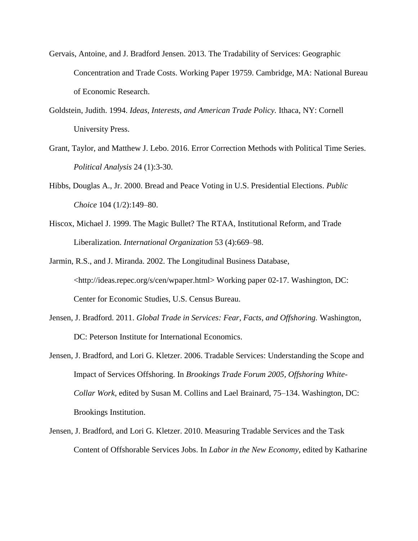- Gervais, Antoine, and J. Bradford Jensen. 2013. The Tradability of Services: Geographic Concentration and Trade Costs. Working Paper 19759. Cambridge, MA: National Bureau of Economic Research.
- Goldstein, Judith. 1994. *Ideas, Interests, and American Trade Policy.* Ithaca, NY: Cornell University Press.
- Grant, Taylor, and Matthew J. Lebo. 2016. Error Correction Methods with Political Time Series. *Political Analysis* 24 (1):3-30.
- Hibbs, Douglas A., Jr. 2000. Bread and Peace Voting in U.S. Presidential Elections. *Public Choice* 104 (1/2):149–80.
- Hiscox, Michael J. 1999. The Magic Bullet? The RTAA, Institutional Reform, and Trade Liberalization. *International Organization* 53 (4):669–98.
- Jarmin, R.S., and J. Miranda. 2002. The Longitudinal Business Database, <http://ideas.repec.org/s/cen/wpaper.html> Working paper 02-17. Washington, DC: Center for Economic Studies, U.S. Census Bureau.
- Jensen, J. Bradford. 2011. *Global Trade in Services: Fear, Facts, and Offshoring.* Washington, DC: Peterson Institute for International Economics.
- Jensen, J. Bradford, and Lori G. Kletzer. 2006. Tradable Services: Understanding the Scope and Impact of Services Offshoring. In *Brookings Trade Forum 2005, Offshoring White-Collar Work*, edited by Susan M. Collins and Lael Brainard, 75–134. Washington, DC: Brookings Institution.
- Jensen, J. Bradford, and Lori G. Kletzer. 2010. Measuring Tradable Services and the Task Content of Offshorable Services Jobs. In *Labor in the New Economy*, edited by Katharine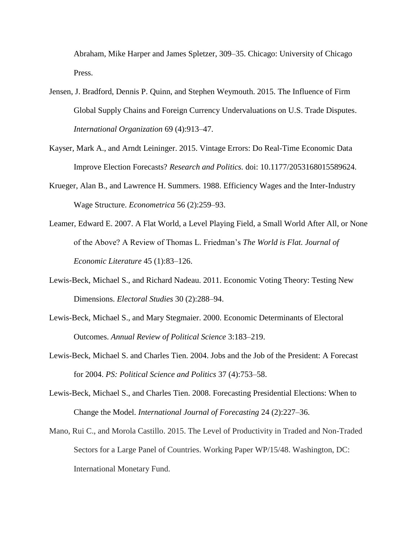Abraham, Mike Harper and James Spletzer, 309–35. Chicago: University of Chicago Press.

- Jensen, J. Bradford, Dennis P. Quinn, and Stephen Weymouth. 2015. The Influence of Firm Global Supply Chains and Foreign Currency Undervaluations on U.S. Trade Disputes. *International Organization* 69 (4):913–47.
- Kayser, Mark A., and Arndt Leininger. 2015. Vintage Errors: Do Real-Time Economic Data Improve Election Forecasts? *Research and Politics.* doi: 10.1177/2053168015589624.
- Krueger, Alan B., and Lawrence H. Summers. 1988. Efficiency Wages and the Inter-Industry Wage Structure. *Econometrica* 56 (2):259–93.
- Leamer, Edward E. 2007. A Flat World, a Level Playing Field, a Small World After All, or None of the Above? A Review of Thomas L. Friedman's *The World is Flat. Journal of Economic Literature* 45 (1):83–126.
- Lewis-Beck, Michael S., and Richard Nadeau. 2011. Economic Voting Theory: Testing New Dimensions. *Electoral Studies* 30 (2):288–94.
- Lewis-Beck, Michael S., and Mary Stegmaier. 2000. Economic Determinants of Electoral Outcomes. *Annual Review of Political Science* 3:183–219.
- Lewis-Beck, Michael S. and Charles Tien. 2004. Jobs and the Job of the President: A Forecast for 2004. *PS: Political Science and Politics* 37 (4):753–58.
- Lewis-Beck, Michael S., and Charles Tien. 2008. Forecasting Presidential Elections: When to Change the Model. *International Journal of Forecasting* 24 (2):227–36.
- Mano, Rui C., and Morola Castillo. 2015. The Level of Productivity in Traded and Non-Traded Sectors for a Large Panel of Countries. Working Paper WP/15/48. Washington, DC: International Monetary Fund.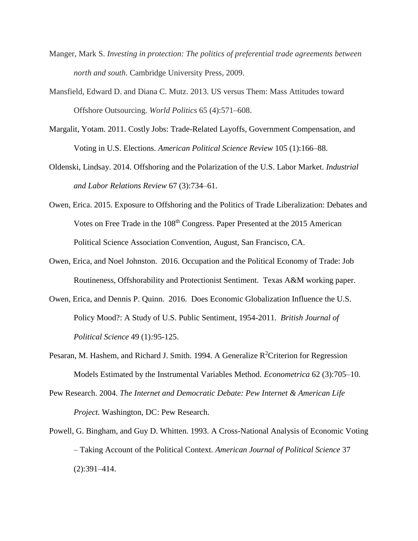- Manger, Mark S. *Investing in protection: The politics of preferential trade agreements between north and south*. Cambridge University Press, 2009.
- Mansfield, Edward D. and Diana C. Mutz. 2013. US versus Them: Mass Attitudes toward Offshore Outsourcing. *World Politics* 65 (4):571–608.
- Margalit, Yotam. 2011. Costly Jobs: Trade-Related Layoffs, Government Compensation, and Voting in U.S. Elections. *American Political Science Review* 105 (1):166–88.
- Oldenski, Lindsay. 2014. Offshoring and the Polarization of the U.S. Labor Market. *Industrial and Labor Relations Review* 67 (3):734–61.
- Owen, Erica. 2015. Exposure to Offshoring and the Politics of Trade Liberalization: Debates and Votes on Free Trade in the 108<sup>th</sup> Congress. Paper Presented at the 2015 American Political Science Association Convention, August, San Francisco, CA.
- Owen, Erica, and Noel Johnston. 2016. Occupation and the Political Economy of Trade: Job Routineness, Offshorability and Protectionist Sentiment. Texas A&M working paper.
- Owen, Erica, and Dennis P. Quinn. 2016. Does Economic Globalization Influence the U.S. Policy Mood?: A Study of U.S. Public Sentiment, 1954-2011. *British Journal of Political Science* 49 (1)*:*95-125.
- Pesaran, M. Hashem, and Richard J. Smith. 1994. A Generalize  $R^2$ Criterion for Regression Models Estimated by the Instrumental Variables Method. *Econometrica* 62 (3):705–10.
- Pew Research. 2004. *The Internet and Democratic Debate: Pew Internet & American Life Project*. Washington, DC: Pew Research.
- Powell, G. Bingham, and Guy D. Whitten. 1993. A Cross-National Analysis of Economic Voting – Taking Account of the Political Context. *American Journal of Political Science* 37 (2):391–414.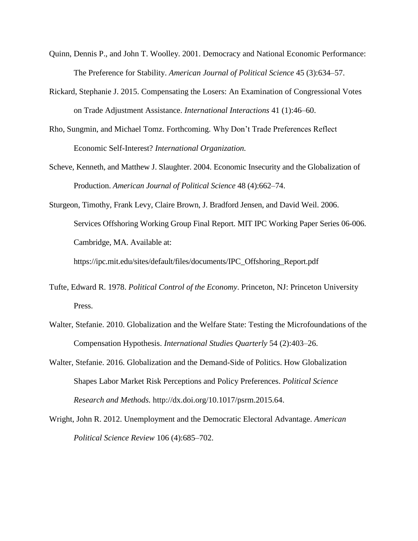- Quinn, Dennis P., and John T. Woolley. 2001. Democracy and National Economic Performance: The Preference for Stability. *American Journal of Political Science* 45 (3):634–57.
- Rickard, Stephanie J. 2015. Compensating the Losers: An Examination of Congressional Votes on Trade Adjustment Assistance. *International Interactions* 41 (1):46–60.
- Rho, Sungmin, and Michael Tomz. Forthcoming. Why Don't Trade Preferences Reflect Economic Self-Interest? *International Organization.*
- Scheve, Kenneth, and Matthew J. Slaughter. 2004. Economic Insecurity and the Globalization of Production. *American Journal of Political Science* 48 (4):662–74.
- Sturgeon, Timothy, Frank Levy, Claire Brown, J. Bradford Jensen, and David Weil. 2006. Services Offshoring Working Group Final Report. MIT IPC Working Paper Series 06-006. Cambridge, MA. Available at:

[https://ipc.mit.edu/sites/default/files/documents/IPC\\_Offshoring\\_Report.pdf](https://ipc.mit.edu/sites/default/files/documents/IPC_Offshoring_Report.pdf)

- Tufte, Edward R. 1978. *Political Control of the Economy*. Princeton, NJ: Princeton University Press.
- Walter, Stefanie. 2010. Globalization and the Welfare State: Testing the Microfoundations of the Compensation Hypothesis. *International Studies Quarterly* 54 (2):403–26.
- Walter, Stefanie. 2016. Globalization and the Demand-Side of Politics. How Globalization Shapes Labor Market Risk Perceptions and Policy Preferences. *Political Science Research and Methods.* http://dx.doi.org/10.1017/psrm.2015.64.
- Wright, John R. 2012. Unemployment and the Democratic Electoral Advantage. *American Political Science Review* 106 (4):685–702.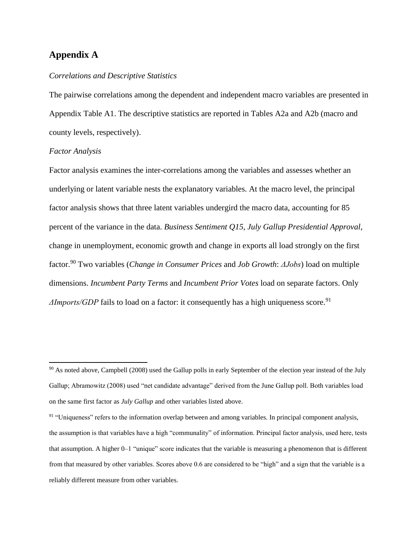### **Appendix A**

#### *Correlations and Descriptive Statistics*

The pairwise correlations among the dependent and independent macro variables are presented in Appendix Table A1. The descriptive statistics are reported in Tables A2a and A2b (macro and county levels, respectively).

#### *Factor Analysis*

 $\overline{\phantom{a}}$ 

Factor analysis examines the inter-correlations among the variables and assesses whether an underlying or latent variable nests the explanatory variables. At the macro level, the principal factor analysis shows that three latent variables undergird the macro data, accounting for 85 percent of the variance in the data. *Business Sentiment Q15, July Gallup Presidential Approval*, change in unemployment, economic growth and change in exports all load strongly on the first factor.<sup>90</sup> Two variables (*Change in Consumer Prices* and *Job Growth*: *ΔJobs*) load on multiple dimensions. *Incumbent Party Terms* and *Incumbent Prior Votes* load on separate factors. Only  $\Delta$ *Imports/GDP* fails to load on a factor: it consequently has a high uniqueness score.<sup>91</sup>

 $90$  As noted above, Campbell (2008) used the Gallup polls in early September of the election year instead of the July Gallup; Abramowitz (2008) used "net candidate advantage" derived from the June Gallup poll. Both variables load on the same first factor as *July Gallup* and other variables listed above.

<sup>&</sup>lt;sup>91</sup> "Uniqueness" refers to the information overlap between and among variables. In principal component analysis, the assumption is that variables have a high "communality" of information. Principal factor analysis, used here, tests that assumption. A higher 0–1 "unique" score indicates that the variable is measuring a phenomenon that is different from that measured by other variables. Scores above 0.6 are considered to be "high" and a sign that the variable is a reliably different measure from other variables.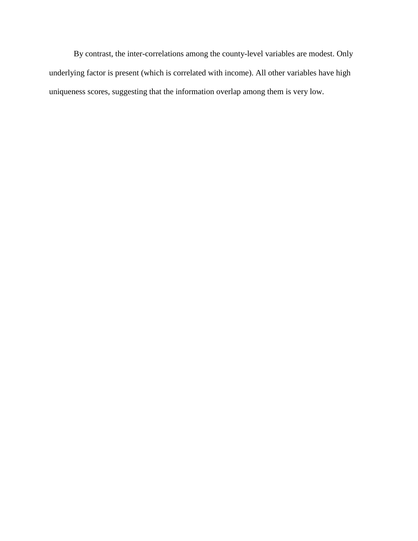By contrast, the inter-correlations among the county-level variables are modest. Only underlying factor is present (which is correlated with income). All other variables have high uniqueness scores, suggesting that the information overlap among them is very low.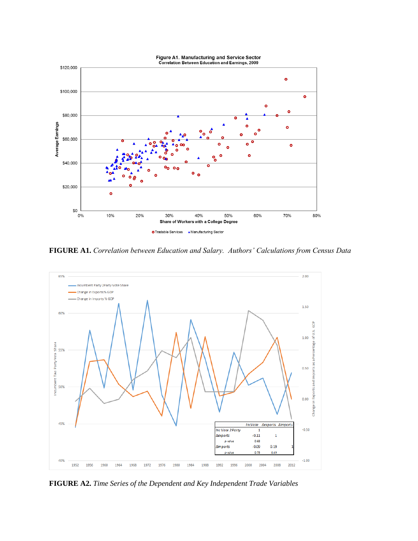

**FIGURE A1.** *Correlation between Education and Salary. Authors' Calculations from Census Data*



**FIGURE A2.** *Time Series of the Dependent and Key Independent Trade Variables*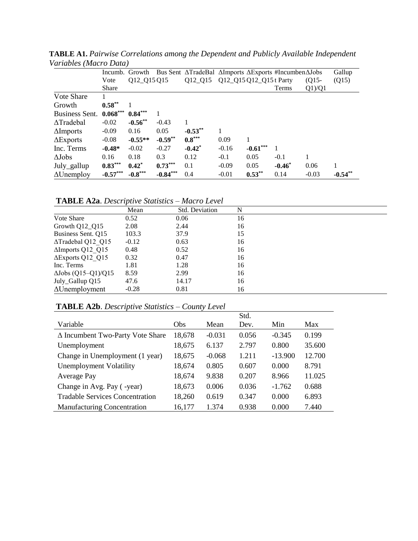|                   | Incumb. Growth |              |            | Bus Sent ΔTradeBal ΔImports ΔExports #IncumbenΔJobs |                         |            |           |          | Gallup    |
|-------------------|----------------|--------------|------------|-----------------------------------------------------|-------------------------|------------|-----------|----------|-----------|
|                   | Vote           | $Q12_Q15Q15$ |            | $Q12_Q15$                                           | Q12_Q15 Q12_Q15 t Party |            |           | $(Q15 -$ | (Q15)     |
|                   | <b>Share</b>   |              |            |                                                     |                         |            | Terms     | Q1)/Q1   |           |
| <b>Vote Share</b> |                |              |            |                                                     |                         |            |           |          |           |
| Growth            | $0.58***$      |              |            |                                                     |                         |            |           |          |           |
| Business Sent.    | $0.068***$     | $0.84***$    |            |                                                     |                         |            |           |          |           |
| $\Delta$ Tradebal | $-0.02$        | $-0.56***$   | $-0.43$    |                                                     |                         |            |           |          |           |
| $\Delta$ Imports  | $-0.09$        | 0.16         | 0.05       | $-0.53**$                                           |                         |            |           |          |           |
| $\Delta$ Exports  | $-0.08$        | $-0.55**$    | $-0.59**$  | $0.8***$                                            | 0.09                    |            |           |          |           |
| Inc. Terms        | $-0.48*$       | $-0.02$      | $-0.27$    | $-0.42^*$                                           | $-0.16$                 | $-0.61***$ |           |          |           |
| $\Delta$ Jobs     | 0.16           | 0.18         | 0.3        | 0.12                                                | $-0.1$                  | 0.05       | $-0.1$    |          |           |
| July_gallup       | $0.83***$      | $0.42^*$     | $0.73***$  | 0.1                                                 | $-0.09$                 | 0.05       | $-0.46^*$ | 0.06     |           |
| $\Delta$ Unemploy | $-0.57***$     | $-0.8***$    | $-0.84***$ | 0.4                                                 | $-0.01$                 | $0.53***$  | 0.14      | $-0.03$  | $-0.54**$ |

**TABLE A1.** *Pairwise Correlations among the Dependent and Publicly Available Independent Variables (Macro Data)*

**TABLE A2a**. *Descriptive Statistics – Macro Level*

|                              | Mean    | Std. Deviation | N  |  |
|------------------------------|---------|----------------|----|--|
| Vote Share                   | 0.52    | 0.06           | 16 |  |
| Growth $Q12_Q15$             | 2.08    | 2.44           | 16 |  |
| Business Sent. 015           | 103.3   | 37.9           | 15 |  |
| $\triangle$ Tradebal Q12 Q15 | $-0.12$ | 0.63           | 16 |  |
| $\Delta$ Imports Q12 Q15     | 0.48    | 0.52           | 16 |  |
| $\Delta$ Exports Q12 Q15     | 0.32    | 0.47           | 16 |  |
| Inc. Terms                   | 1.81    | 1.28           | 16 |  |
| $\Delta$ Jobs (Q15–Q1)/Q15   | 8.59    | 2.99           | 16 |  |
| July_Gallup Q15              | 47.6    | 14.17          | 16 |  |
| $\Delta$ Unemployment        | $-0.28$ | 0.81           | 16 |  |

## **TABLE A2b**. *Descriptive Statistics – County Level*

|                                         |            |          | Std.  |           |        |
|-----------------------------------------|------------|----------|-------|-----------|--------|
| Variable                                | <b>Obs</b> | Mean     | Dev.  | Min       | Max    |
| $\Delta$ Incumbent Two-Party Vote Share | 18,678     | $-0.031$ | 0.056 | $-0.345$  | 0.199  |
| Unemployment                            | 18,675     | 6.137    | 2.797 | 0.800     | 35.600 |
| Change in Unemployment (1 year)         | 18,675     | $-0.068$ | 1.211 | $-13.900$ | 12.700 |
| <b>Unemployment Volatility</b>          | 18,674     | 0.805    | 0.607 | 0.000     | 8.791  |
| <b>Average Pay</b>                      | 18,674     | 9.838    | 0.207 | 8.966     | 11.025 |
| Change in Avg. Pay (-year)              | 18,673     | 0.006    | 0.036 | $-1.762$  | 0.688  |
| <b>Tradable Services Concentration</b>  | 18,260     | 0.619    | 0.347 | 0.000     | 6.893  |
| <b>Manufacturing Concentration</b>      | 16,177     | 1.374    | 0.938 | 0.000     | 7.440  |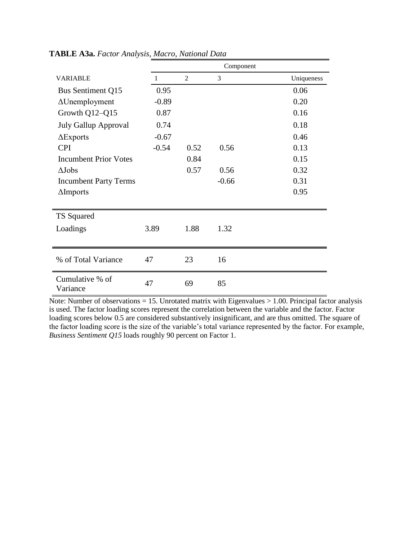|                              |         |                | Component |            |
|------------------------------|---------|----------------|-----------|------------|
| <b>VARIABLE</b>              | 1       | $\overline{2}$ | 3         | Uniqueness |
| Bus Sentiment Q15            | 0.95    |                |           | 0.06       |
| $\Delta$ Unemployment        | $-0.89$ |                |           | 0.20       |
| Growth Q12-Q15               | 0.87    |                |           | 0.16       |
| <b>July Gallup Approval</b>  | 0.74    |                |           | 0.18       |
| $\Delta$ Exports             | $-0.67$ |                |           | 0.46       |
| <b>CPI</b>                   | $-0.54$ | 0.52           | 0.56      | 0.13       |
| <b>Incumbent Prior Votes</b> |         | 0.84           |           | 0.15       |
| $\Delta$ Jobs                |         | 0.57           | 0.56      | 0.32       |
| <b>Incumbent Party Terms</b> |         |                | $-0.66$   | 0.31       |
| $\Delta$ Imports             |         |                |           | 0.95       |
|                              |         |                |           |            |
| TS Squared                   |         |                |           |            |
| Loadings                     | 3.89    | 1.88           | 1.32      |            |
|                              |         |                |           |            |
| % of Total Variance          | 47      | 23             | 16        |            |
| Cumulative % of<br>Variance  | 47      | 69             | 85        |            |

**TABLE A3a.** *Factor Analysis, Macro, National Data*

Note: Number of observations = 15. Unrotated matrix with Eigenvalues  $> 1.00$ . Principal factor analysis is used. The factor loading scores represent the correlation between the variable and the factor. Factor loading scores below 0.5 are considered substantively insignificant, and are thus omitted. The square of the factor loading score is the size of the variable's total variance represented by the factor. For example, *Business Sentiment Q15* loads roughly 90 percent on Factor 1.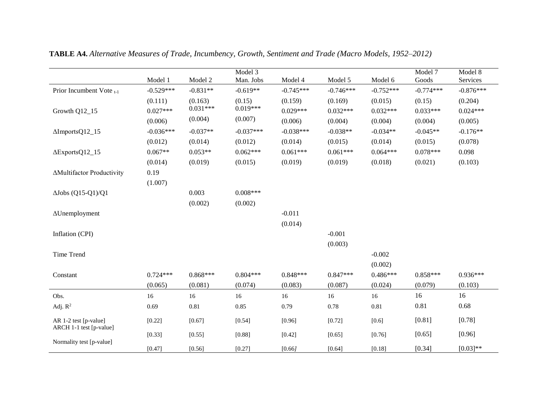|                                                  |             |            | Model 3     |             |             |             | Model 7     | Model 8     |
|--------------------------------------------------|-------------|------------|-------------|-------------|-------------|-------------|-------------|-------------|
|                                                  | Model 1     | Model 2    | Man. Jobs   | Model 4     | Model 5     | Model 6     | Goods       | Services    |
| Prior Incumbent Vote t-1                         | $-0.529***$ | $-0.831**$ | $-0.619**$  | $-0.745***$ | $-0.746***$ | $-0.752***$ | $-0.774***$ | $-0.876***$ |
|                                                  | (0.111)     | (0.163)    | (0.15)      | (0.159)     | (0.169)     | (0.015)     | (0.15)      | (0.204)     |
| Growth Q12_15                                    | $0.027***$  | $0.031***$ | $0.019***$  | $0.029***$  | $0.032***$  | $0.032***$  | $0.033***$  | $0.024***$  |
|                                                  | (0.006)     | (0.004)    | (0.007)     | (0.006)     | (0.004)     | (0.004)     | (0.004)     | (0.005)     |
| $\Delta$ ImportsQ12_15                           | $-0.036***$ | $-0.037**$ | $-0.037***$ | $-0.038***$ | $-0.038**$  | $-0.034**$  | $-0.045**$  | $-0.176**$  |
|                                                  | (0.012)     | (0.014)    | (0.012)     | (0.014)     | (0.015)     | (0.014)     | (0.015)     | (0.078)     |
| $\Delta$ ExportsQ12_15                           | $0.067**$   | $0.053**$  | $0.062***$  | $0.061***$  | $0.061***$  | $0.064***$  | $0.078***$  | 0.098       |
|                                                  | (0.014)     | (0.019)    | (0.015)     | (0.019)     | (0.019)     | (0.018)     | (0.021)     | (0.103)     |
| ∆Multifactor Productivity                        | 0.19        |            |             |             |             |             |             |             |
|                                                  | (1.007)     |            |             |             |             |             |             |             |
| $\Delta$ Jobs (Q15-Q1)/Q1                        |             | 0.003      | $0.008***$  |             |             |             |             |             |
|                                                  |             | (0.002)    | (0.002)     |             |             |             |             |             |
| $\Delta$ Unemployment                            |             |            |             | $-0.011$    |             |             |             |             |
|                                                  |             |            |             | (0.014)     |             |             |             |             |
| Inflation (CPI)                                  |             |            |             |             | $-0.001$    |             |             |             |
|                                                  |             |            |             |             | (0.003)     |             |             |             |
| Time Trend                                       |             |            |             |             |             | $-0.002$    |             |             |
|                                                  |             |            |             |             |             | (0.002)     |             |             |
| Constant                                         | $0.724***$  | $0.868***$ | $0.804***$  | $0.848***$  | $0.847***$  | $0.486***$  | $0.858***$  | $0.936***$  |
|                                                  | (0.065)     | (0.081)    | (0.074)     | (0.083)     | (0.087)     | (0.024)     | (0.079)     | (0.103)     |
| Obs.                                             | 16          | 16         | 16          | 16          | 16          | 16          | 16          | 16          |
| Adj. $R^2$                                       | 0.69        | 0.81       | 0.85        | 0.79        | 0.78        | 0.81        | 0.81        | 0.68        |
| AR 1-2 test [p-value]<br>ARCH 1-1 test [p-value] | [0.22]      | [0.67]     | [0.54]      | [0.96]      | [0.72]      | [0.6]       | [0.81]      | [0.78]      |
|                                                  | [0.33]      | [0.55]     | [0.88]      | [0.42]      | [0.65]      | [0.76]      | [0.65]      | [0.96]      |
| Normality test [p-value]                         | [0.47]      | [0.56]     | [0.27]      | [0.66]      | [0.64]      | [0.18]      | [0.34]      | $[0.03]**$  |

**TABLE A4.** *Alternative Measures of Trade, Incumbency, Growth, Sentiment and Trade (Macro Models, 1952–2012)*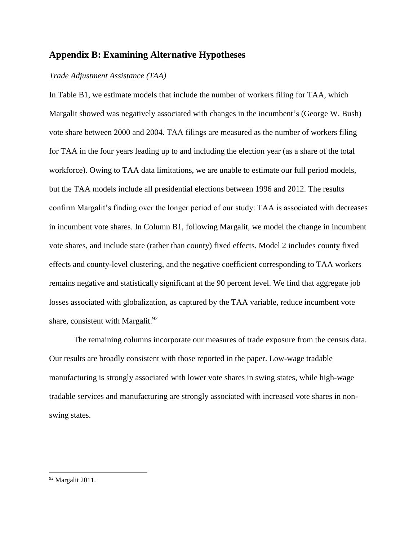## **Appendix B: Examining Alternative Hypotheses**

#### *Trade Adjustment Assistance (TAA)*

In Table B1, we estimate models that include the number of workers filing for TAA, which Margalit showed was negatively associated with changes in the incumbent's (George W. Bush) vote share between 2000 and 2004. TAA filings are measured as the number of workers filing for TAA in the four years leading up to and including the election year (as a share of the total workforce). Owing to TAA data limitations, we are unable to estimate our full period models, but the TAA models include all presidential elections between 1996 and 2012. The results confirm Margalit's finding over the longer period of our study: TAA is associated with decreases in incumbent vote shares. In Column B1, following Margalit, we model the change in incumbent vote shares, and include state (rather than county) fixed effects. Model 2 includes county fixed effects and county-level clustering, and the negative coefficient corresponding to TAA workers remains negative and statistically significant at the 90 percent level. We find that aggregate job losses associated with globalization, as captured by the TAA variable, reduce incumbent vote share, consistent with Margalit. $92$ 

The remaining columns incorporate our measures of trade exposure from the census data. Our results are broadly consistent with those reported in the paper. Low-wage tradable manufacturing is strongly associated with lower vote shares in swing states, while high-wage tradable services and manufacturing are strongly associated with increased vote shares in nonswing states.

<sup>92</sup> Margalit 2011.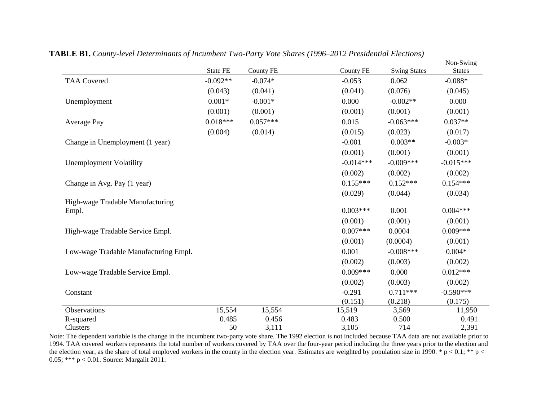|                                       | State FE   | <b>County FE</b> | County FE   | <b>Swing States</b> | Non-Swing<br><b>States</b> |
|---------------------------------------|------------|------------------|-------------|---------------------|----------------------------|
| <b>TAA Covered</b>                    | $-0.092**$ | $-0.074*$        | $-0.053$    | 0.062               | $-0.088*$                  |
|                                       | (0.043)    | (0.041)          | (0.041)     | (0.076)             | (0.045)                    |
| Unemployment                          | $0.001*$   | $-0.001*$        | 0.000       | $-0.002**$          | 0.000                      |
|                                       | (0.001)    | (0.001)          | (0.001)     | (0.001)             | (0.001)                    |
| Average Pay                           | $0.018***$ | $0.057***$       | 0.015       | $-0.063***$         | $0.037**$                  |
|                                       | (0.004)    | (0.014)          | (0.015)     | (0.023)             | (0.017)                    |
| Change in Unemployment (1 year)       |            |                  | $-0.001$    | $0.003**$           | $-0.003*$                  |
|                                       |            |                  | (0.001)     | (0.001)             | (0.001)                    |
| <b>Unemployment Volatility</b>        |            |                  | $-0.014***$ | $-0.009***$         | $-0.015***$                |
|                                       |            |                  | (0.002)     | (0.002)             | (0.002)                    |
| Change in Avg. Pay (1 year)           |            |                  | $0.155***$  | $0.152***$          | $0.154***$                 |
|                                       |            |                  | (0.029)     | (0.044)             | (0.034)                    |
| High-wage Tradable Manufacturing      |            |                  |             |                     |                            |
| Empl.                                 |            |                  | $0.003***$  | 0.001               | $0.004***$                 |
|                                       |            |                  | (0.001)     | (0.001)             | (0.001)                    |
| High-wage Tradable Service Empl.      |            |                  | $0.007***$  | 0.0004              | $0.009***$                 |
|                                       |            |                  | (0.001)     | (0.0004)            | (0.001)                    |
| Low-wage Tradable Manufacturing Empl. |            |                  | 0.001       | $-0.008***$         | $0.004*$                   |
|                                       |            |                  | (0.002)     | (0.003)             | (0.002)                    |
| Low-wage Tradable Service Empl.       |            |                  | $0.009***$  | 0.000               | $0.012***$                 |
|                                       |            |                  | (0.002)     | (0.003)             | (0.002)                    |
| Constant                              |            |                  | $-0.291$    | $0.711***$          | $-0.590***$                |
|                                       |            |                  | (0.151)     | (0.218)             | (0.175)                    |
| Observations                          | 15,554     | 15,554           | 15,519      | 3,569               | 11,950                     |
| R-squared                             | 0.485      | 0.456            | 0.483       | 0.500               | 0.491                      |
| Clusters                              | 50         | 3,111            | 3,105       | 714                 | 2,391                      |

**TABLE B1.** *County-level Determinants of Incumbent Two-Party Vote Shares (1996–2012 Presidential Elections)*

Note: The dependent variable is the change in the incumbent two-party vote share. The 1992 election is not included because TAA data are not available prior to 1994. TAA covered workers represents the total number of workers covered by TAA over the four-year period including the three years prior to the election and the election year, as the share of total employed workers in the county in the election year. Estimates are weighted by population size in 1990. \*  $p < 0.1$ ; \*\*  $p <$ 0.05; \*\*\* p < 0.01. Source: Margalit 2011.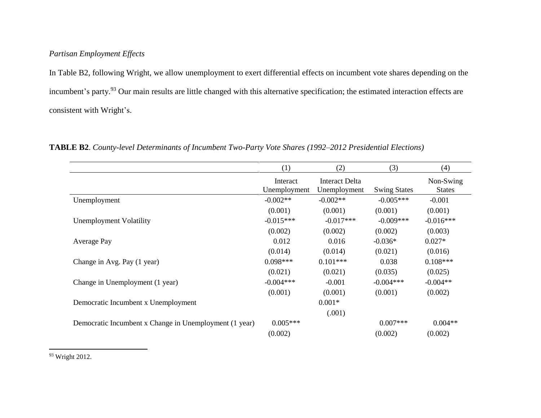### *Partisan Employment Effects*

In Table B2, following Wright, we allow unemployment to exert differential effects on incumbent vote shares depending on the incumbent's party.<sup>93</sup> Our main results are little changed with this alternative specification; the estimated interaction effects are consistent with Wright's.

|                                                        | (1)                      | (2)                            | (3)                 | (4)                        |
|--------------------------------------------------------|--------------------------|--------------------------------|---------------------|----------------------------|
|                                                        | Interact<br>Unemployment | Interact Delta<br>Unemployment | <b>Swing States</b> | Non-Swing<br><b>States</b> |
| Unemployment                                           | $-0.002**$               | $-0.002**$                     | $-0.005***$         | $-0.001$                   |
|                                                        | (0.001)                  | (0.001)                        | (0.001)             | (0.001)                    |
| <b>Unemployment Volatility</b>                         | $-0.015***$              | $-0.017***$                    | $-0.009***$         | $-0.016***$                |
|                                                        | (0.002)                  | (0.002)                        | (0.002)             | (0.003)                    |
| Average Pay                                            | 0.012                    | 0.016                          | $-0.036*$           | $0.027*$                   |
|                                                        | (0.014)                  | (0.014)                        | (0.021)             | (0.016)                    |
| Change in Avg. Pay (1 year)                            | $0.098***$               | $0.101***$                     | 0.038               | $0.108***$                 |
|                                                        | (0.021)                  | (0.021)                        | (0.035)             | (0.025)                    |
| Change in Unemployment (1 year)                        | $-0.004***$              | $-0.001$                       | $-0.004***$         | $-0.004**$                 |
|                                                        | (0.001)                  | (0.001)                        | (0.001)             | (0.002)                    |
| Democratic Incumbent x Unemployment                    |                          | $0.001*$                       |                     |                            |
|                                                        |                          | (.001)                         |                     |                            |
| Democratic Incumbent x Change in Unemployment (1 year) | $0.005***$               |                                | $0.007***$          | $0.004**$                  |
|                                                        | (0.002)                  |                                | (0.002)             | (0.002)                    |

**TABLE B2**. *County-level Determinants of Incumbent Two-Party Vote Shares (1992–2012 Presidential Elections)*

 $\overline{\phantom{a}}$ 93 Wright 2012.